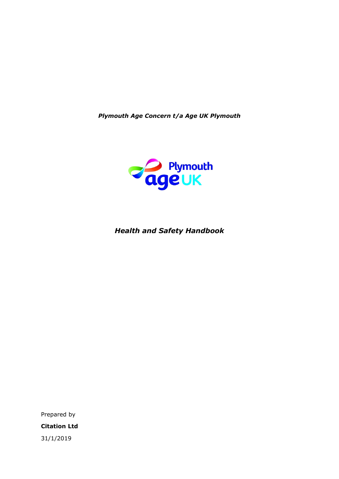*Plymouth Age Concern t/a Age UK Plymouth*



## *Health and Safety Handbook*

Prepared by **Citation Ltd** 31/1/2019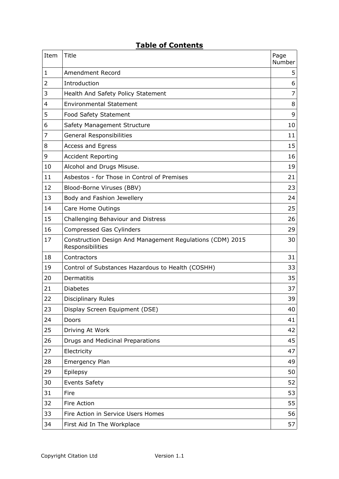## **Table of Contents**

| Item | Title                                                                         | Page<br>Number |
|------|-------------------------------------------------------------------------------|----------------|
| 1    | <b>Amendment Record</b>                                                       | 5              |
| 2    | Introduction                                                                  | 6              |
| 3    | Health And Safety Policy Statement                                            | 7              |
| 4    | <b>Environmental Statement</b>                                                | 8              |
| 5    | Food Safety Statement                                                         | 9              |
| 6    | Safety Management Structure                                                   | 10             |
| 7    | <b>General Responsibilities</b>                                               | 11             |
| 8    | <b>Access and Egress</b>                                                      | 15             |
| 9    | <b>Accident Reporting</b>                                                     | 16             |
| 10   | Alcohol and Drugs Misuse.                                                     | 19             |
| 11   | Asbestos - for Those in Control of Premises                                   | 21             |
| 12   | Blood-Borne Viruses (BBV)                                                     | 23             |
| 13   | Body and Fashion Jewellery                                                    | 24             |
| 14   | Care Home Outings                                                             | 25             |
| 15   | Challenging Behaviour and Distress                                            | 26             |
| 16   | <b>Compressed Gas Cylinders</b>                                               | 29             |
| 17   | Construction Design And Management Regulations (CDM) 2015<br>Responsibilities | 30             |
| 18   | Contractors                                                                   | 31             |
| 19   | Control of Substances Hazardous to Health (COSHH)                             | 33             |
| 20   | Dermatitis                                                                    | 35             |
| 21   | <b>Diabetes</b>                                                               | 37             |
| 22   | <b>Disciplinary Rules</b>                                                     | 39             |
| 23   | Display Screen Equipment (DSE)                                                | 40             |
| 24   | Doors                                                                         | 41             |
| 25   | Driving At Work                                                               | 42             |
| 26   | Drugs and Medicinal Preparations                                              | 45             |
| 27   | Electricity                                                                   | 47             |
| 28   | <b>Emergency Plan</b>                                                         | 49             |
| 29   | Epilepsy                                                                      | 50             |
| 30   | <b>Events Safety</b>                                                          | 52             |
| 31   | Fire                                                                          | 53             |
| 32   | Fire Action                                                                   | 55             |
| 33   | Fire Action in Service Users Homes                                            | 56             |
| 34   | First Aid In The Workplace                                                    | 57             |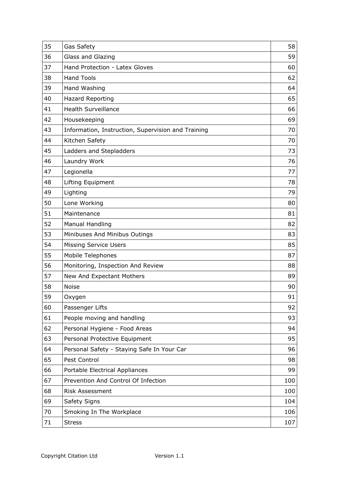| 35 | Gas Safety                                         | 58  |
|----|----------------------------------------------------|-----|
| 36 | Glass and Glazing                                  | 59  |
| 37 | Hand Protection - Latex Gloves                     | 60  |
| 38 | <b>Hand Tools</b>                                  | 62  |
| 39 | Hand Washing                                       | 64  |
| 40 | <b>Hazard Reporting</b>                            | 65  |
| 41 | <b>Health Surveillance</b>                         | 66  |
| 42 | Housekeeping                                       | 69  |
| 43 | Information, Instruction, Supervision and Training | 70  |
| 44 | Kitchen Safety                                     | 70  |
| 45 | Ladders and Stepladders                            | 73  |
| 46 | Laundry Work                                       | 76  |
| 47 | Legionella                                         | 77  |
| 48 | Lifting Equipment                                  | 78  |
| 49 | Lighting                                           | 79  |
| 50 | Lone Working                                       | 80  |
| 51 | Maintenance                                        | 81  |
| 52 | <b>Manual Handling</b>                             | 82  |
| 53 | Minibuses And Minibus Outings                      | 83  |
| 54 | <b>Missing Service Users</b>                       | 85  |
| 55 | Mobile Telephones                                  | 87  |
| 56 | Monitoring, Inspection And Review                  | 88  |
| 57 | New And Expectant Mothers                          | 89  |
| 58 | <b>Noise</b>                                       | 90  |
| 59 | Oxygen                                             | 91  |
| 60 | Passenger Lifts                                    | 92  |
| 61 | People moving and handling                         | 93  |
| 62 | Personal Hygiene - Food Areas                      | 94  |
| 63 | Personal Protective Equipment                      | 95  |
| 64 | Personal Safety - Staying Safe In Your Car         | 96  |
| 65 | Pest Control                                       | 98  |
| 66 | Portable Electrical Appliances                     | 99  |
| 67 | Prevention And Control Of Infection                | 100 |
| 68 | <b>Risk Assessment</b>                             | 100 |
| 69 | Safety Signs                                       | 104 |
| 70 | Smoking In The Workplace                           | 106 |
| 71 | <b>Stress</b>                                      | 107 |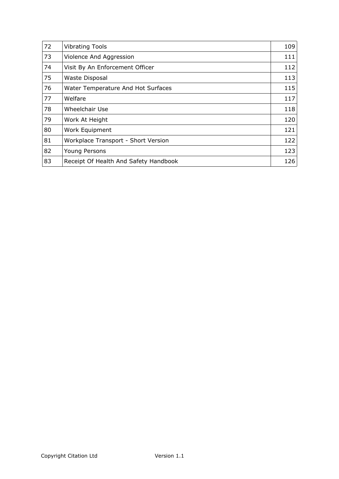| 72 | <b>Vibrating Tools</b>                | 109 |
|----|---------------------------------------|-----|
| 73 | Violence And Aggression               | 111 |
| 74 | Visit By An Enforcement Officer       | 112 |
| 75 | Waste Disposal                        | 113 |
| 76 | Water Temperature And Hot Surfaces    | 115 |
| 77 | Welfare                               | 117 |
| 78 | Wheelchair Use                        | 118 |
| 79 | Work At Height                        | 120 |
| 80 | Work Equipment                        | 121 |
| 81 | Workplace Transport - Short Version   | 122 |
| 82 | Young Persons                         | 123 |
| 83 | Receipt Of Health And Safety Handbook | 126 |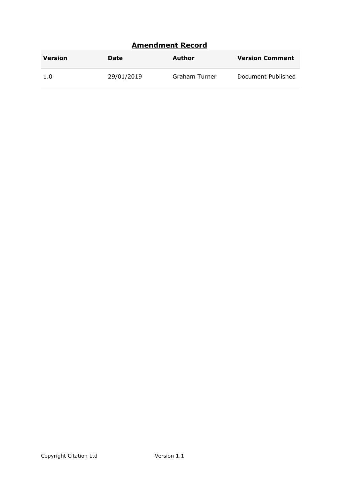# <span id="page-4-0"></span>**Amendment Record**

| <b>Version</b> | Date       | Author        | <b>Version Comment</b> |
|----------------|------------|---------------|------------------------|
| 1.0            | 29/01/2019 | Graham Turner | Document Published     |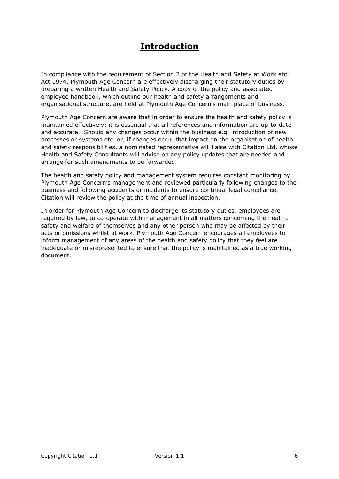# <span id="page-5-0"></span>**Introduction**

In compliance with the requirement of Section 2 of the Health and Safety at Work etc. Act 1974, Plymouth Age Concern are effectively discharging their statutory duties by preparing a written Health and Safety Policy. A copy of the policy and associated employee handbook, which outline our health and safety arrangements and organisational structure, are held at Plymouth Age Concern's main place of business.

Plymouth Age Concern are aware that in order to ensure the health and safety policy is maintained effectively; it is essential that all references and information are up-to-date and accurate. Should any changes occur within the business e.g. introduction of new processes or systems etc. or, if changes occur that impact on the organisation of health and safety responsibilities, a nominated representative will liaise with Citation Ltd, whose Health and Safety Consultants will advise on any policy updates that are needed and arrange for such amendments to be forwarded.

The health and safety policy and management system requires constant monitoring by Plymouth Age Concern's management and reviewed particularly following changes to the business and following accidents or incidents to ensure continual legal compliance. Citation will review the policy at the time of annual inspection.

In order for Plymouth Age Concern to discharge its statutory duties, employees are required by law, to co-operate with management in all matters concerning the health, safety and welfare of themselves and any other person who may be affected by their acts or omissions whilst at work. Plymouth Age Concern encourages all employees to inform management of any areas of the health and safety policy that they feel are inadequate or misrepresented to ensure that the policy is maintained as a true working document.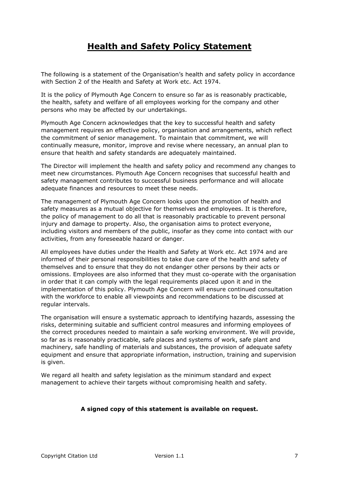# <span id="page-6-0"></span>**Health and Safety Policy Statement**

The following is a statement of the Organisation's health and safety policy in accordance with Section 2 of the Health and Safety at Work etc. Act 1974.

It is the policy of Plymouth Age Concern to ensure so far as is reasonably practicable, the health, safety and welfare of all employees working for the company and other persons who may be affected by our undertakings.

Plymouth Age Concern acknowledges that the key to successful health and safety management requires an effective policy, organisation and arrangements, which reflect the commitment of senior management. To maintain that commitment, we will continually measure, monitor, improve and revise where necessary, an annual plan to ensure that health and safety standards are adequately maintained.

The Director will implement the health and safety policy and recommend any changes to meet new circumstances. Plymouth Age Concern recognises that successful health and safety management contributes to successful business performance and will allocate adequate finances and resources to meet these needs.

The management of Plymouth Age Concern looks upon the promotion of health and safety measures as a mutual objective for themselves and employees. It is therefore, the policy of management to do all that is reasonably practicable to prevent personal injury and damage to property. Also, the organisation aims to protect everyone, including visitors and members of the public, insofar as they come into contact with our activities, from any foreseeable hazard or danger.

All employees have duties under the Health and Safety at Work etc. Act 1974 and are informed of their personal responsibilities to take due care of the health and safety of themselves and to ensure that they do not endanger other persons by their acts or omissions. Employees are also informed that they must co-operate with the organisation in order that it can comply with the legal requirements placed upon it and in the implementation of this policy. Plymouth Age Concern will ensure continued consultation with the workforce to enable all viewpoints and recommendations to be discussed at regular intervals.

The organisation will ensure a systematic approach to identifying hazards, assessing the risks, determining suitable and sufficient control measures and informing employees of the correct procedures needed to maintain a safe working environment. We will provide, so far as is reasonably practicable, safe places and systems of work, safe plant and machinery, safe handling of materials and substances, the provision of adequate safety equipment and ensure that appropriate information, instruction, training and supervision is given.

We regard all health and safety legislation as the minimum standard and expect management to achieve their targets without compromising health and safety.

#### **A signed copy of this statement is available on request.**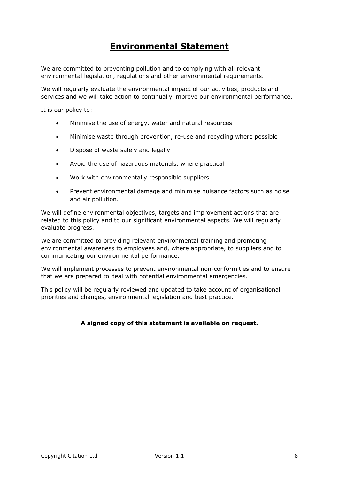# <span id="page-7-0"></span>**Environmental Statement**

We are committed to preventing pollution and to complying with all relevant environmental legislation, regulations and other environmental requirements.

We will regularly evaluate the environmental impact of our activities, products and services and we will take action to continually improve our environmental performance.

It is our policy to:

- Minimise the use of energy, water and natural resources
- Minimise waste through prevention, re-use and recycling where possible
- Dispose of waste safely and legally
- Avoid the use of hazardous materials, where practical
- Work with environmentally responsible suppliers
- Prevent environmental damage and minimise nuisance factors such as noise and air pollution.

We will define environmental objectives, targets and improvement actions that are related to this policy and to our significant environmental aspects. We will regularly evaluate progress.

We are committed to providing relevant environmental training and promoting environmental awareness to employees and, where appropriate, to suppliers and to communicating our environmental performance.

We will implement processes to prevent environmental non-conformities and to ensure that we are prepared to deal with potential environmental emergencies.

This policy will be regularly reviewed and updated to take account of organisational priorities and changes, environmental legislation and best practice.

#### **A signed copy of this statement is available on request.**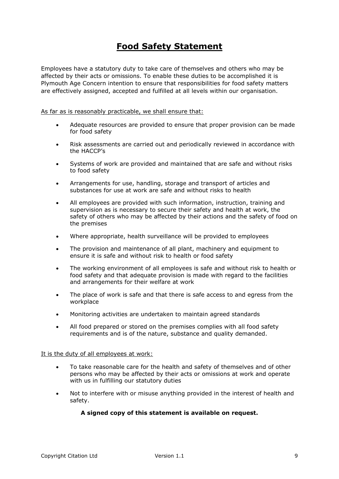# <span id="page-8-0"></span>**Food Safety Statement**

Employees have a statutory duty to take care of themselves and others who may be affected by their acts or omissions. To enable these duties to be accomplished it is Plymouth Age Concern intention to ensure that responsibilities for food safety matters are effectively assigned, accepted and fulfilled at all levels within our organisation.

As far as is reasonably practicable, we shall ensure that:

- Adequate resources are provided to ensure that proper provision can be made for food safety
- Risk assessments are carried out and periodically reviewed in accordance with the HACCP's
- Systems of work are provided and maintained that are safe and without risks to food safety
- Arrangements for use, handling, storage and transport of articles and substances for use at work are safe and without risks to health
- All employees are provided with such information, instruction, training and supervision as is necessary to secure their safety and health at work, the safety of others who may be affected by their actions and the safety of food on the premises
- Where appropriate, health surveillance will be provided to employees
- The provision and maintenance of all plant, machinery and equipment to ensure it is safe and without risk to health or food safety
- The working environment of all employees is safe and without risk to health or food safety and that adequate provision is made with regard to the facilities and arrangements for their welfare at work
- The place of work is safe and that there is safe access to and egress from the workplace
- Monitoring activities are undertaken to maintain agreed standards
- All food prepared or stored on the premises complies with all food safety requirements and is of the nature, substance and quality demanded.

#### It is the duty of all employees at work:

- To take reasonable care for the health and safety of themselves and of other persons who may be affected by their acts or omissions at work and operate with us in fulfilling our statutory duties
- Not to interfere with or misuse anything provided in the interest of health and safety.

#### **A signed copy of this statement is available on request.**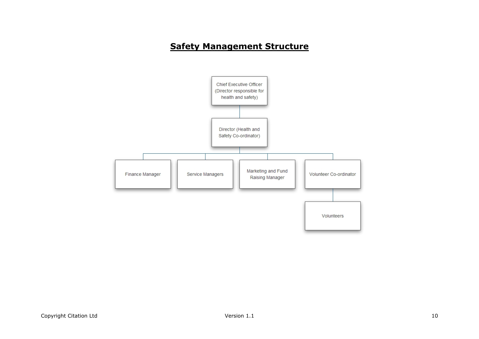# **Safety Management Structure**

<span id="page-9-0"></span>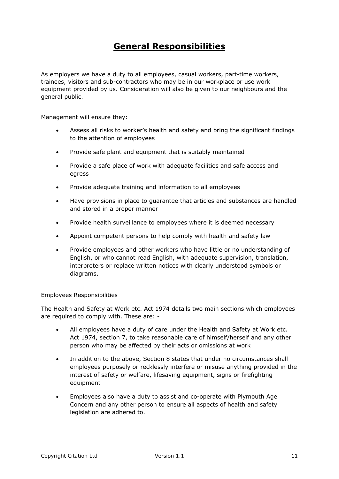# <span id="page-10-0"></span>**General Responsibilities**

As employers we have a duty to all employees, casual workers, part-time workers, trainees, visitors and sub-contractors who may be in our workplace or use work equipment provided by us. Consideration will also be given to our neighbours and the general public.

Management will ensure they:

- Assess all risks to worker's health and safety and bring the significant findings to the attention of employees
- Provide safe plant and equipment that is suitably maintained
- Provide a safe place of work with adequate facilities and safe access and egress
- Provide adequate training and information to all employees
- Have provisions in place to guarantee that articles and substances are handled and stored in a proper manner
- Provide health surveillance to employees where it is deemed necessary
- Appoint competent persons to help comply with health and safety law
- Provide employees and other workers who have little or no understanding of English, or who cannot read English, with adequate supervision, translation, interpreters or replace written notices with clearly understood symbols or diagrams.

#### Employees Responsibilities

The Health and Safety at Work etc. Act 1974 details two main sections which employees are required to comply with. These are: -

- All employees have a duty of care under the Health and Safety at Work etc. Act 1974, section 7, to take reasonable care of himself/herself and any other person who may be affected by their acts or omissions at work
- In addition to the above, Section 8 states that under no circumstances shall employees purposely or recklessly interfere or misuse anything provided in the interest of safety or welfare, lifesaving equipment, signs or firefighting equipment
- Employees also have a duty to assist and co-operate with Plymouth Age Concern and any other person to ensure all aspects of health and safety legislation are adhered to.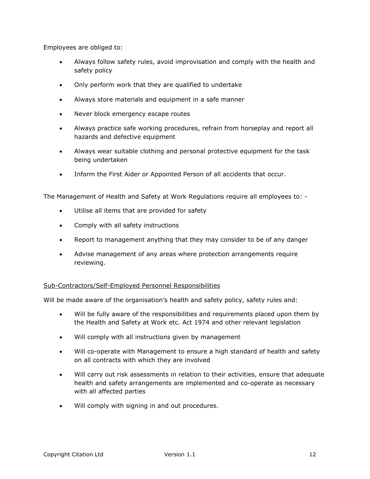Employees are obliged to:

- Always follow safety rules, avoid improvisation and comply with the health and safety policy
- Only perform work that they are qualified to undertake
- Always store materials and equipment in a safe manner
- Never block emergency escape routes
- Always practice safe working procedures, refrain from horseplay and report all hazards and defective equipment
- Always wear suitable clothing and personal protective equipment for the task being undertaken
- Inform the First Aider or Appointed Person of all accidents that occur.

The Management of Health and Safety at Work Regulations require all employees to: -

- Utilise all items that are provided for safety
- Comply with all safety instructions
- Report to management anything that they may consider to be of any danger
- Advise management of any areas where protection arrangements require reviewing.

#### Sub-Contractors/Self-Employed Personnel Responsibilities

Will be made aware of the organisation's health and safety policy, safety rules and:

- Will be fully aware of the responsibilities and requirements placed upon them by the Health and Safety at Work etc. Act 1974 and other relevant legislation
- Will comply with all instructions given by management
- Will co-operate with Management to ensure a high standard of health and safety on all contracts with which they are involved
- Will carry out risk assessments in relation to their activities, ensure that adequate health and safety arrangements are implemented and co-operate as necessary with all affected parties
- Will comply with signing in and out procedures.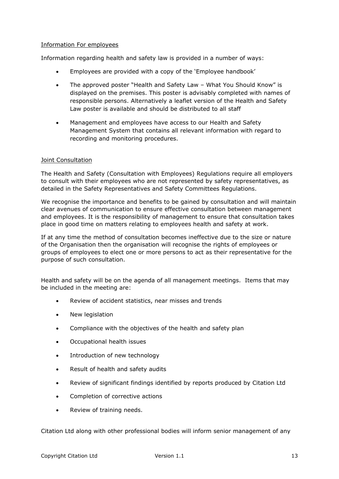## Information For employees

Information regarding health and safety law is provided in a number of ways:

- Employees are provided with a copy of the 'Employee handbook'
- The approved poster "Health and Safety Law What You Should Know" is displayed on the premises. This poster is advisably completed with names of responsible persons. Alternatively a leaflet version of the Health and Safety Law poster is available and should be distributed to all staff
- Management and employees have access to our Health and Safety Management System that contains all relevant information with regard to recording and monitoring procedures.

#### Joint Consultation

The Health and Safety (Consultation with Employees) Regulations require all employers to consult with their employees who are not represented by safety representatives, as detailed in the Safety Representatives and Safety Committees Regulations.

We recognise the importance and benefits to be gained by consultation and will maintain clear avenues of communication to ensure effective consultation between management and employees. It is the responsibility of management to ensure that consultation takes place in good time on matters relating to employees health and safety at work.

If at any time the method of consultation becomes ineffective due to the size or nature of the Organisation then the organisation will recognise the rights of employees or groups of employees to elect one or more persons to act as their representative for the purpose of such consultation.

Health and safety will be on the agenda of all management meetings. Items that may be included in the meeting are:

- Review of accident statistics, near misses and trends
- New legislation
- Compliance with the objectives of the health and safety plan
- Occupational health issues
- Introduction of new technology
- Result of health and safety audits
- Review of significant findings identified by reports produced by Citation Ltd
- Completion of corrective actions
- Review of training needs.

Citation Ltd along with other professional bodies will inform senior management of any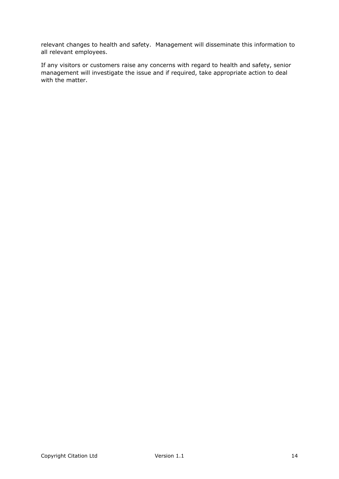relevant changes to health and safety. Management will disseminate this information to all relevant employees.

If any visitors or customers raise any concerns with regard to health and safety, senior management will investigate the issue and if required, take appropriate action to deal with the matter.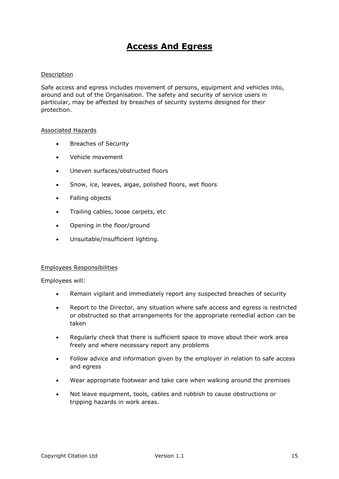# <span id="page-14-0"></span>**Access And Egress**

## Description

Safe access and egress includes movement of persons, equipment and vehicles into, around and out of the Organisation. The safety and security of service users in particular, may be affected by breaches of security systems designed for their protection.

#### Associated Hazards

- **•** Breaches of Security
- Vehicle movement
- Uneven surfaces/obstructed floors
- Snow, ice, leaves, algae, polished floors, wet floors
- Falling objects
- Trailing cables, loose carpets, etc
- Opening in the floor/ground
- Unsuitable/insufficient lighting.

#### Employees Responsibilities

Employees will:

- Remain vigilant and immediately report any suspected breaches of security
- Report to the Director, any situation where safe access and egress is restricted or obstructed so that arrangements for the appropriate remedial action can be taken
- Regularly check that there is sufficient space to move about their work area freely and where necessary report any problems
- Follow advice and information given by the employer in relation to safe access and egress
- Wear appropriate footwear and take care when walking around the premises
- Not leave equipment, tools, cables and rubbish to cause obstructions or tripping hazards in work areas.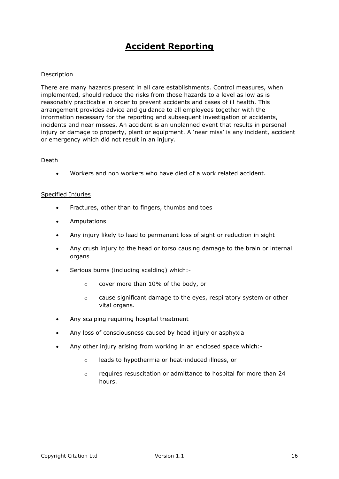# <span id="page-15-0"></span>**Accident Reporting**

## Description

There are many hazards present in all care establishments. Control measures, when implemented, should reduce the risks from those hazards to a level as low as is reasonably practicable in order to prevent accidents and cases of ill health. This arrangement provides advice and guidance to all employees together with the information necessary for the reporting and subsequent investigation of accidents, incidents and near misses. An accident is an unplanned event that results in personal injury or damage to property, plant or equipment. A 'near miss' is any incident, accident or emergency which did not result in an injury.

#### Death

Workers and non workers who have died of a work related accident.

#### Specified Injuries

- Fractures, other than to fingers, thumbs and toes
- Amputations
- Any injury likely to lead to permanent loss of sight or reduction in sight
- Any crush injury to the head or torso causing damage to the brain or internal organs
- Serious burns (including scalding) which:
	- o cover more than 10% of the body, or
	- $\circ$  cause significant damage to the eyes, respiratory system or other vital organs.
- Any scalping requiring hospital treatment
- Any loss of consciousness caused by head injury or asphyxia
- Any other injury arising from working in an enclosed space which:
	- o leads to hypothermia or heat-induced illness, or
	- $\circ$  requires resuscitation or admittance to hospital for more than 24 hours.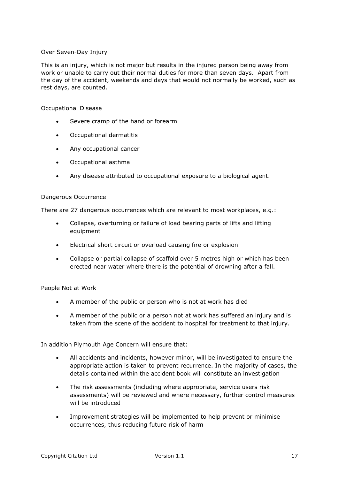### Over Seven-Day Injury

This is an injury, which is not major but results in the injured person being away from work or unable to carry out their normal duties for more than seven days. Apart from the day of the accident, weekends and days that would not normally be worked, such as rest days, are counted.

### Occupational Disease

- Severe cramp of the hand or forearm
- Occupational dermatitis
- Any occupational cancer
- Occupational asthma
- Any disease attributed to occupational exposure to a biological agent.

## Dangerous Occurrence

There are 27 dangerous occurrences which are relevant to most workplaces, e.g.:

- Collapse, overturning or failure of load bearing parts of lifts and lifting equipment
- Electrical short circuit or overload causing fire or explosion
- Collapse or partial collapse of scaffold over 5 metres high or which has been erected near water where there is the potential of drowning after a fall.

## People Not at Work

- A member of the public or person who is not at work has died
- A member of the public or a person not at work has suffered an injury and is taken from the scene of the accident to hospital for treatment to that injury.

In addition Plymouth Age Concern will ensure that:

- All accidents and incidents, however minor, will be investigated to ensure the appropriate action is taken to prevent recurrence. In the majority of cases, the details contained within the accident book will constitute an investigation
- The risk assessments (including where appropriate, service users risk assessments) will be reviewed and where necessary, further control measures will be introduced
- Improvement strategies will be implemented to help prevent or minimise occurrences, thus reducing future risk of harm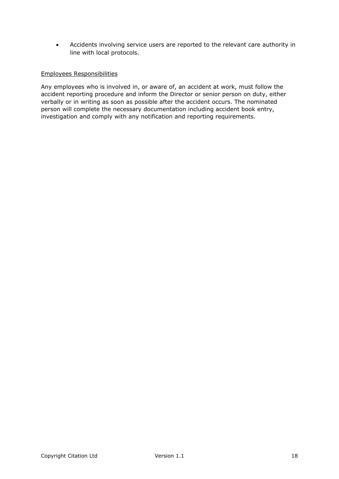Accidents involving service users are reported to the relevant care authority in line with local protocols.

## Employees Responsibilities

Any employees who is involved in, or aware of, an accident at work, must follow the accident reporting procedure and inform the Director or senior person on duty, either verbally or in writing as soon as possible after the accident occurs. The nominated person will complete the necessary documentation including accident book entry, investigation and comply with any notification and reporting requirements.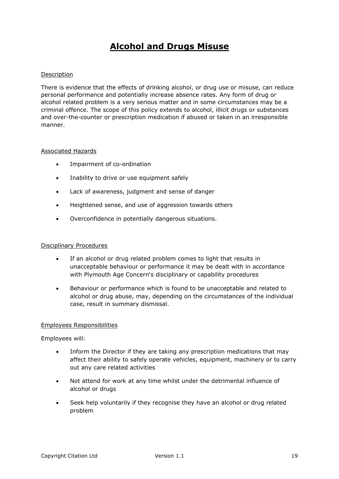# <span id="page-18-0"></span>**Alcohol and Drugs Misuse**

## Description

There is evidence that the effects of drinking alcohol, or drug use or misuse, can reduce personal performance and potentially increase absence rates. Any form of drug or alcohol related problem is a very serious matter and in some circumstances may be a criminal offence. The scope of this policy extends to alcohol, illicit drugs or substances and over-the-counter or prescription medication if abused or taken in an irresponsible manner.

#### Associated Hazards

- Impairment of co-ordination
- Inability to drive or use equipment safely
- Lack of awareness, judgment and sense of danger
- Heightened sense, and use of aggression towards others
- Overconfidence in potentially dangerous situations.

#### Disciplinary Procedures

- If an alcohol or drug related problem comes to light that results in unacceptable behaviour or performance it may be dealt with in accordance with Plymouth Age Concern's disciplinary or capability procedures
- Behaviour or performance which is found to be unacceptable and related to alcohol or drug abuse, may, depending on the circumstances of the individual case, result in summary dismissal.

#### Employees Responsibilities

Employees will:

- Inform the Director if they are taking any prescription medications that may affect their ability to safely operate vehicles, equipment, machinery or to carry out any care related activities
- Not attend for work at any time whilst under the detrimental influence of alcohol or drugs
- Seek help voluntarily if they recognise they have an alcohol or drug related problem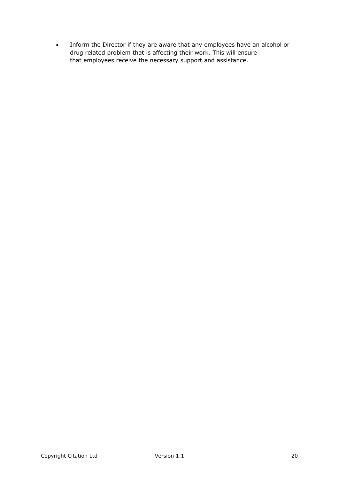Inform the Director if they are aware that any employees have an alcohol or drug related problem that is affecting their work. This will ensure that employees receive the necessary support and assistance.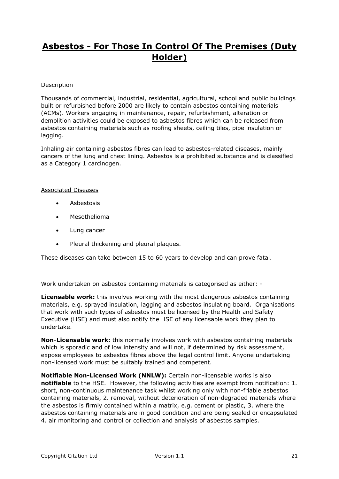# <span id="page-20-0"></span>**Asbestos - For Those In Control Of The Premises (Duty Holder)**

### **Description**

Thousands of commercial, industrial, residential, agricultural, school and public buildings built or refurbished before 2000 are likely to contain asbestos containing materials (ACMs). Workers engaging in maintenance, repair, refurbishment, alteration or demolition activities could be exposed to asbestos fibres which can be released from asbestos containing materials such as roofing sheets, ceiling tiles, pipe insulation or lagging.

Inhaling air containing asbestos fibres can lead to asbestos-related diseases, mainly cancers of the lung and chest lining. Asbestos is a prohibited substance and is classified as a Category 1 carcinogen.

## Associated Diseases

- Asbestosis
- Mesothelioma
- Lung cancer
- Pleural thickening and pleural plaques.

These diseases can take between 15 to 60 years to develop and can prove fatal.

Work undertaken on asbestos containing materials is categorised as either: -

**Licensable work:** this involves working with the most dangerous asbestos containing materials, e.g. sprayed insulation, lagging and asbestos insulating board. Organisations that work with such types of asbestos must be licensed by the Health and Safety Executive (HSE) and must also notify the HSE of any licensable work they plan to undertake.

**Non-Licensable work:** this normally involves work with asbestos containing materials which is sporadic and of low intensity and will not, if determined by risk assessment, expose employees to asbestos fibres above the legal control limit. Anyone undertaking non-licensed work must be suitably trained and competent.

**Notifiable Non-Licensed Work (NNLW):** Certain non-licensable works is also **notifiable** to the HSE. However, the following activities are exempt from notification: 1. short, non-continuous maintenance task whilst working only with non-friable asbestos containing materials, 2. removal, without deterioration of non-degraded materials where the asbestos is firmly contained within a matrix, e.g. cement or plastic, 3. where the asbestos containing materials are in good condition and are being sealed or encapsulated 4. air monitoring and control or collection and analysis of asbestos samples.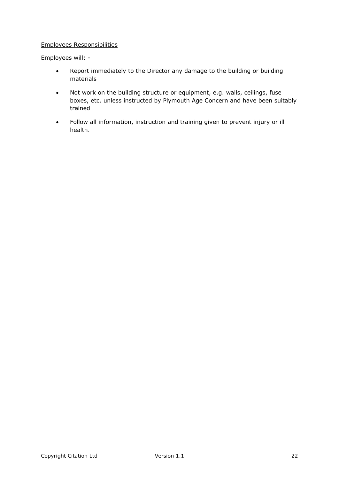## Employees Responsibilities

Employees will: -

- Report immediately to the Director any damage to the building or building materials
- Not work on the building structure or equipment, e.g. walls, ceilings, fuse boxes, etc. unless instructed by Plymouth Age Concern and have been suitably trained
- Follow all information, instruction and training given to prevent injury or ill health.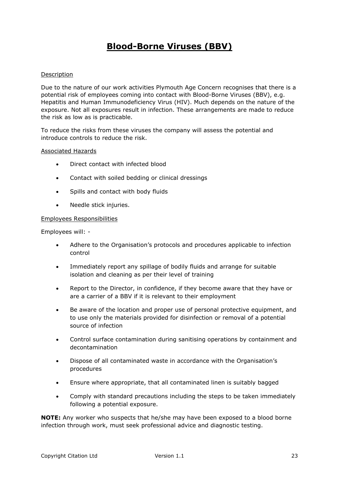# <span id="page-22-0"></span>**Blood-Borne Viruses (BBV)**

## Description

Due to the nature of our work activities Plymouth Age Concern recognises that there is a potential risk of employees coming into contact with Blood-Borne Viruses (BBV), e.g. Hepatitis and Human Immunodeficiency Virus (HIV). Much depends on the nature of the exposure. Not all exposures result in infection. These arrangements are made to reduce the risk as low as is practicable.

To reduce the risks from these viruses the company will assess the potential and introduce controls to reduce the risk.

#### Associated Hazards

- Direct contact with infected blood
- Contact with soiled bedding or clinical dressings
- Spills and contact with body fluids
- Needle stick injuries.

#### Employees Responsibilities

Employees will: -

- Adhere to the Organisation's protocols and procedures applicable to infection control
- Immediately report any spillage of bodily fluids and arrange for suitable isolation and cleaning as per their level of training
- Report to the Director, in confidence, if they become aware that they have or are a carrier of a BBV if it is relevant to their employment
- Be aware of the location and proper use of personal protective equipment, and to use only the materials provided for disinfection or removal of a potential source of infection
- Control surface contamination during sanitising operations by containment and decontamination
- Dispose of all contaminated waste in accordance with the Organisation's procedures
- Ensure where appropriate, that all contaminated linen is suitably bagged
- Comply with standard precautions including the steps to be taken immediately following a potential exposure.

**NOTE:** Any worker who suspects that he/she may have been exposed to a blood borne infection through work, must seek professional advice and diagnostic testing.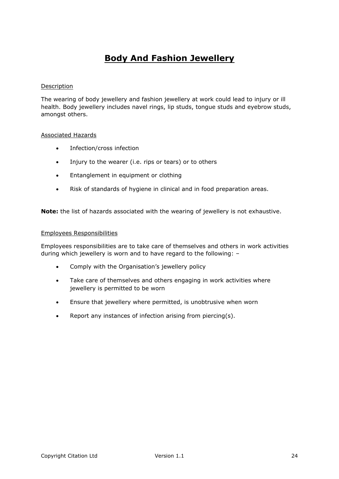# <span id="page-23-0"></span>**Body And Fashion Jewellery**

## Description

The wearing of body jewellery and fashion jewellery at work could lead to injury or ill health. Body jewellery includes navel rings, lip studs, tongue studs and eyebrow studs, amongst others.

#### Associated Hazards

- Infection/cross infection
- Injury to the wearer (i.e. rips or tears) or to others
- **•** Entanglement in equipment or clothing
- Risk of standards of hygiene in clinical and in food preparation areas.

**Note:** the list of hazards associated with the wearing of jewellery is not exhaustive.

#### Employees Responsibilities

Employees responsibilities are to take care of themselves and others in work activities during which jewellery is worn and to have regard to the following: –

- Comply with the Organisation's jewellery policy
- Take care of themselves and others engaging in work activities where jewellery is permitted to be worn
- Ensure that jewellery where permitted, is unobtrusive when worn
- Report any instances of infection arising from piercing(s).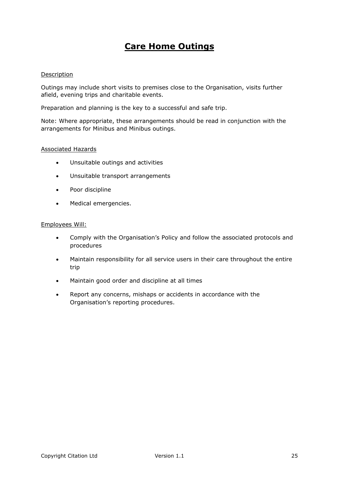# <span id="page-24-0"></span>**Care Home Outings**

#### Description

Outings may include short visits to premises close to the Organisation, visits further afield, evening trips and charitable events.

Preparation and planning is the key to a successful and safe trip.

Note: Where appropriate, these arrangements should be read in conjunction with the arrangements for Minibus and Minibus outings.

#### Associated Hazards

- Unsuitable outings and activities
- Unsuitable transport arrangements
- Poor discipline
- Medical emergencies.

#### Employees Will:

- Comply with the Organisation's Policy and follow the associated protocols and procedures
- Maintain responsibility for all service users in their care throughout the entire trip
- Maintain good order and discipline at all times
- Report any concerns, mishaps or accidents in accordance with the Organisation's reporting procedures.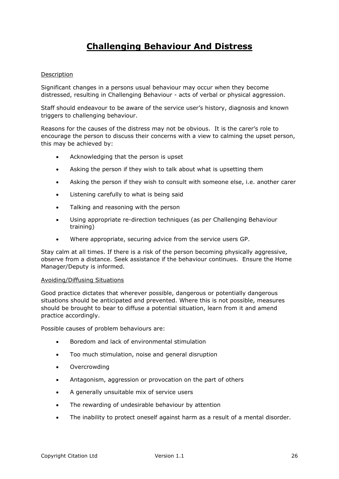# <span id="page-25-0"></span>**Challenging Behaviour And Distress**

## Description

Significant changes in a persons usual behaviour may occur when they become distressed, resulting in Challenging Behaviour - acts of verbal or physical aggression.

Staff should endeavour to be aware of the service user's history, diagnosis and known triggers to challenging behaviour.

Reasons for the causes of the distress may not be obvious. It is the carer's role to encourage the person to discuss their concerns with a view to calming the upset person, this may be achieved by:

- Acknowledging that the person is upset
- Asking the person if they wish to talk about what is upsetting them
- Asking the person if they wish to consult with someone else, i.e. another carer
- Listening carefully to what is being said
- Talking and reasoning with the person
- Using appropriate re-direction techniques (as per Challenging Behaviour training)
- Where appropriate, securing advice from the service users GP.

Stay calm at all times. If there is a risk of the person becoming physically aggressive, observe from a distance. Seek assistance if the behaviour continues. Ensure the Home Manager/Deputy is informed.

#### Avoiding/Diffusing Situations

Good practice dictates that wherever possible, dangerous or potentially dangerous situations should be anticipated and prevented. Where this is not possible, measures should be brought to bear to diffuse a potential situation, learn from it and amend practice accordingly.

Possible causes of problem behaviours are:

- Boredom and lack of environmental stimulation
- Too much stimulation, noise and general disruption
- **Overcrowding**
- Antagonism, aggression or provocation on the part of others
- A generally unsuitable mix of service users
- The rewarding of undesirable behaviour by attention
- The inability to protect oneself against harm as a result of a mental disorder.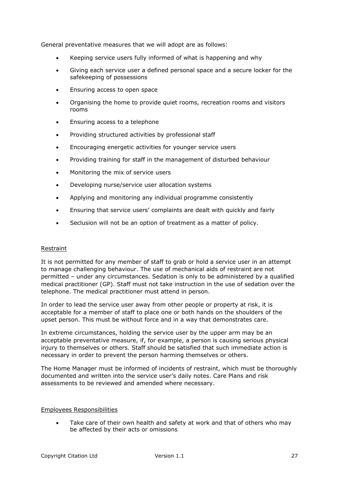General preventative measures that we will adopt are as follows:

- Keeping service users fully informed of what is happening and why
- Giving each service user a defined personal space and a secure locker for the safekeeping of possessions
- Ensuring access to open space
- Organising the home to provide quiet rooms, recreation rooms and visitors rooms
- Ensuring access to a telephone
- Providing structured activities by professional staff
- Encouraging energetic activities for younger service users
- Providing training for staff in the management of disturbed behaviour
- Monitoring the mix of service users
- Developing nurse/service user allocation systems
- Applying and monitoring any individual programme consistently
- Ensuring that service users' complaints are dealt with quickly and fairly
- Seclusion will not be an option of treatment as a matter of policy.

#### Restraint

It is not permitted for any member of staff to grab or hold a service user in an attempt to manage challenging behaviour. The use of mechanical aids of restraint are not permitted – under any circumstances. Sedation is only to be administered by a qualified medical practitioner (GP). Staff must not take instruction in the use of sedation over the telephone. The medical practitioner must attend in person.

In order to lead the service user away from other people or property at risk, it is acceptable for a member of staff to place one or both hands on the shoulders of the upset person. This must be without force and in a way that demonstrates care.

In extreme circumstances, holding the service user by the upper arm may be an acceptable preventative measure, if, for example, a person is causing serious physical injury to themselves or others. Staff should be satisfied that such immediate action is necessary in order to prevent the person harming themselves or others.

The Home Manager must be informed of incidents of restraint, which must be thoroughly documented and written into the service user's daily notes. Care Plans and risk assessments to be reviewed and amended where necessary.

## Employees Responsibilities

 Take care of their own health and safety at work and that of others who may be affected by their acts or omissions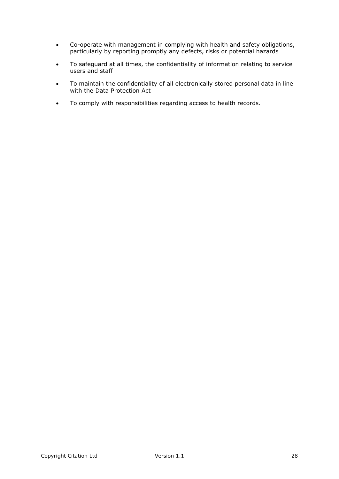- Co-operate with management in complying with health and safety obligations, particularly by reporting promptly any defects, risks or potential hazards
- To safeguard at all times, the confidentiality of information relating to service users and staff
- To maintain the confidentiality of all electronically stored personal data in line with the Data Protection Act
- To comply with responsibilities regarding access to health records.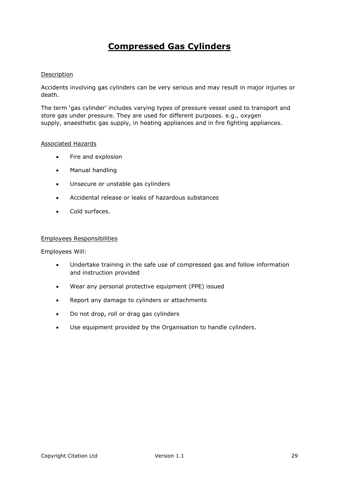# <span id="page-28-0"></span>**Compressed Gas Cylinders**

## Description

Accidents involving gas cylinders can be very serious and may result in major injuries or death.

The term 'gas cylinder' includes varying types of pressure vessel used to transport and store gas under pressure. They are used for different purposes. e.g., oxygen supply, anaesthetic gas supply, in heating appliances and in fire fighting appliances.

#### Associated Hazards

- Fire and explosion
- Manual handling
- Unsecure or unstable gas cylinders
- Accidental release or leaks of hazardous substances
- Cold surfaces.

#### Employees Responsibilities

Employees Will:

- Undertake training in the safe use of compressed gas and follow information and instruction provided
- Wear any personal protective equipment (PPE) issued
- Report any damage to cylinders or attachments
- Do not drop, roll or drag gas cylinders
- Use equipment provided by the Organisation to handle cylinders.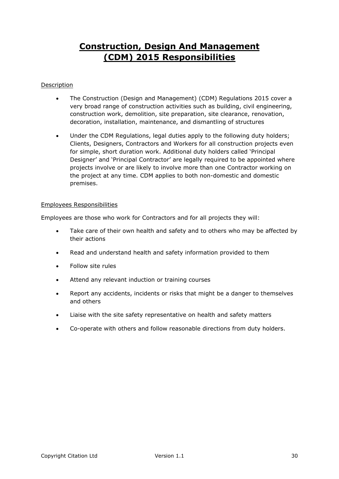# <span id="page-29-0"></span>**Construction, Design And Management (CDM) 2015 Responsibilities**

## Description

- The Construction (Design and Management) (CDM) Regulations 2015 cover a very broad range of construction activities such as building, civil engineering, construction work, demolition, site preparation, site clearance, renovation, decoration, installation, maintenance, and dismantling of structures
- Under the CDM Regulations, legal duties apply to the following duty holders; Clients, Designers, Contractors and Workers for all construction projects even for simple, short duration work. Additional duty holders called 'Principal Designer' and 'Principal Contractor' are legally required to be appointed where projects involve or are likely to involve more than one Contractor working on the project at any time. CDM applies to both non-domestic and domestic premises.

## Employees Responsibilities

Employees are those who work for Contractors and for all projects they will:

- Take care of their own health and safety and to others who may be affected by their actions
- Read and understand health and safety information provided to them
- Follow site rules
- Attend any relevant induction or training courses
- Report any accidents, incidents or risks that might be a danger to themselves and others
- Liaise with the site safety representative on health and safety matters
- Co-operate with others and follow reasonable directions from duty holders.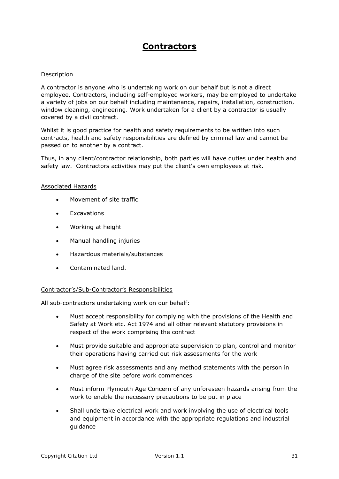# <span id="page-30-0"></span>**Contractors**

#### Description

A contractor is anyone who is undertaking work on our behalf but is not a direct employee. Contractors, including self-employed workers, may be employed to undertake a variety of jobs on our behalf including maintenance, repairs, installation, construction, window cleaning, engineering. Work undertaken for a client by a contractor is usually covered by a civil contract.

Whilst it is good practice for health and safety requirements to be written into such contracts, health and safety responsibilities are defined by criminal law and cannot be passed on to another by a contract.

Thus, in any client/contractor relationship, both parties will have duties under health and safety law. Contractors activities may put the client's own employees at risk.

#### Associated Hazards

- Movement of site traffic
- Excavations
- Working at height
- Manual handling injuries
- Hazardous materials/substances
- Contaminated land.

#### Contractor's/Sub-Contractor's Responsibilities

All sub-contractors undertaking work on our behalf:

- Must accept responsibility for complying with the provisions of the Health and Safety at Work etc. Act 1974 and all other relevant statutory provisions in respect of the work comprising the contract
- Must provide suitable and appropriate supervision to plan, control and monitor their operations having carried out risk assessments for the work
- Must agree risk assessments and any method statements with the person in charge of the site before work commences
- Must inform Plymouth Age Concern of any unforeseen hazards arising from the work to enable the necessary precautions to be put in place
- Shall undertake electrical work and work involving the use of electrical tools and equipment in accordance with the appropriate regulations and industrial guidance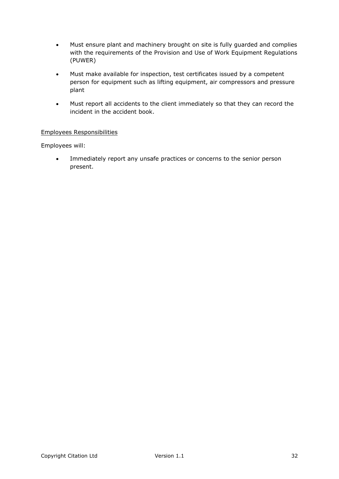- Must ensure plant and machinery brought on site is fully guarded and complies with the requirements of the Provision and Use of Work Equipment Regulations (PUWER)
- Must make available for inspection, test certificates issued by a competent person for equipment such as lifting equipment, air compressors and pressure plant
- Must report all accidents to the client immediately so that they can record the incident in the accident book.

## Employees Responsibilities

Employees will:

 Immediately report any unsafe practices or concerns to the senior person present.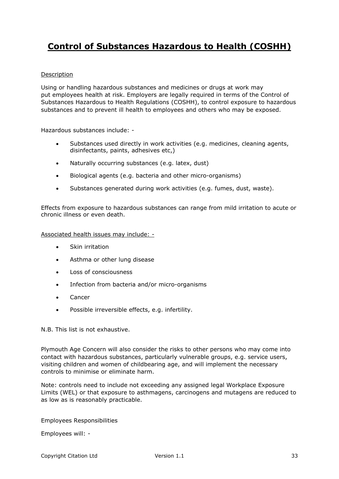# <span id="page-32-0"></span>**Control of Substances Hazardous to Health (COSHH)**

## Description

Using or handling hazardous substances and medicines or drugs at work may put employees health at risk. Employers are legally required in terms of the Control of Substances Hazardous to Health Regulations (COSHH), to control exposure to hazardous substances and to prevent ill health to employees and others who may be exposed.

Hazardous substances include: -

- Substances used directly in work activities (e.g. medicines, cleaning agents, disinfectants, paints, adhesives etc,)
- Naturally occurring substances (e.g. latex, dust)
- Biological agents (e.g. bacteria and other micro-organisms)
- Substances generated during work activities (e.g. fumes, dust, waste).

Effects from exposure to hazardous substances can range from mild irritation to acute or chronic illness or even death.

## Associated health issues may include: -

- Skin irritation
- Asthma or other lung disease
- **Loss of consciousness**
- Infection from bacteria and/or micro-organisms
- Cancer
- Possible irreversible effects, e.g. infertility.

N.B. This list is not exhaustive.

Plymouth Age Concern will also consider the risks to other persons who may come into contact with hazardous substances, particularly vulnerable groups, e.g. service users, visiting children and women of childbearing age, and will implement the necessary controls to minimise or eliminate harm.

Note: controls need to include not exceeding any assigned legal Workplace Exposure Limits (WEL) or that exposure to asthmagens, carcinogens and mutagens are reduced to as low as is reasonably practicable.

Employees Responsibilities

Employees will: -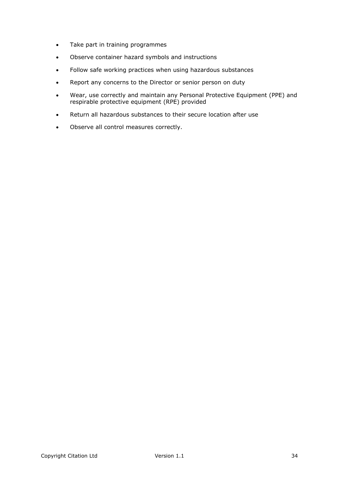- Take part in training programmes
- Observe container hazard symbols and instructions
- Follow safe working practices when using hazardous substances
- Report any concerns to the Director or senior person on duty
- Wear, use correctly and maintain any Personal Protective Equipment (PPE) and respirable protective equipment (RPE) provided
- Return all hazardous substances to their secure location after use
- Observe all control measures correctly.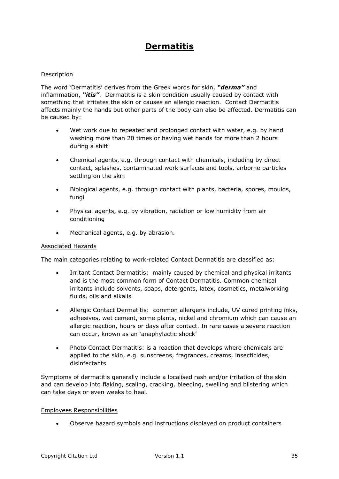# <span id="page-34-0"></span>**Dermatitis**

## Description

The word 'Dermatitis' derives from the Greek words for skin, *"derma"* and inflammation, *"itis"*. Dermatitis is a skin condition usually caused by contact with something that irritates the skin or causes an allergic reaction. Contact Dermatitis affects mainly the hands but other parts of the body can also be affected. Dermatitis can be caused by:

- Wet work due to repeated and prolonged contact with water, e.g. by hand washing more than 20 times or having wet hands for more than 2 hours during a shift
- Chemical agents, e.g. through contact with chemicals, including by direct contact, splashes, contaminated work surfaces and tools, airborne particles settling on the skin
- Biological agents, e.g. through contact with plants, bacteria, spores, moulds, fungi
- Physical agents, e.g. by vibration, radiation or low humidity from air conditioning
- Mechanical agents, e.g. by abrasion.

#### Associated Hazards

The main categories relating to work-related Contact Dermatitis are classified as:

- Irritant Contact Dermatitis: mainly caused by chemical and physical irritants and is the most common form of Contact Dermatitis. Common chemical irritants include solvents, soaps, detergents, latex, cosmetics, metalworking fluids, oils and alkalis
- Allergic Contact Dermatitis: common allergens include, UV cured printing inks, adhesives, wet cement, some plants, nickel and chromium which can cause an allergic reaction, hours or days after contact. In rare cases a severe reaction can occur, known as an 'anaphylactic shock'
- Photo Contact Dermatitis: is a reaction that develops where chemicals are applied to the skin, e.g. sunscreens, fragrances, creams, insecticides, disinfectants.

Symptoms of dermatitis generally include a localised rash and/or irritation of the skin and can develop into flaking, scaling, cracking, bleeding, swelling and blistering which can take days or even weeks to heal.

#### Employees Responsibilities

Observe hazard symbols and instructions displayed on product containers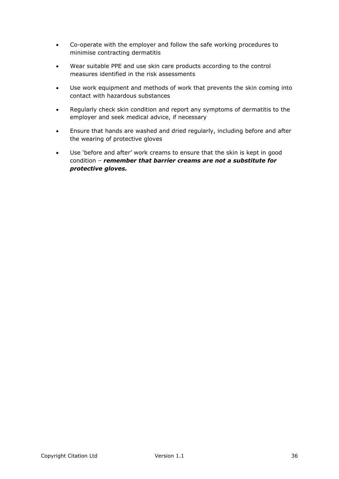- Co-operate with the employer and follow the safe working procedures to minimise contracting dermatitis
- Wear suitable PPE and use skin care products according to the control measures identified in the risk assessments
- Use work equipment and methods of work that prevents the skin coming into contact with hazardous substances
- Regularly check skin condition and report any symptoms of dermatitis to the employer and seek medical advice, if necessary
- Ensure that hands are washed and dried regularly, including before and after the wearing of protective gloves
- Use 'before and after' work creams to ensure that the skin is kept in good condition – *remember that barrier creams are not a substitute for protective gloves.*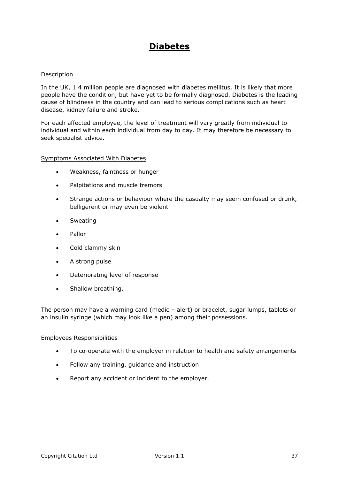# **Diabetes**

### Description

In the UK, 1.4 million people are diagnosed with diabetes mellitus. It is likely that more people have the condition, but have yet to be formally diagnosed. Diabetes is the leading cause of blindness in the country and can lead to serious complications such as heart disease, kidney failure and stroke.

For each affected employee, the level of treatment will vary greatly from individual to individual and within each individual from day to day. It may therefore be necessary to seek specialist advice.

### Symptoms Associated With Diabetes

- Weakness, faintness or hunger
- Palpitations and muscle tremors
- Strange actions or behaviour where the casualty may seem confused or drunk, belligerent or may even be violent
- Sweating
- Pallor
- Cold clammy skin
- A strong pulse
- Deteriorating level of response
- Shallow breathing.

The person may have a warning card (medic – alert) or bracelet, sugar lumps, tablets or an insulin syringe (which may look like a pen) among their possessions.

- To co-operate with the employer in relation to health and safety arrangements
- Follow any training, guidance and instruction
- Report any accident or incident to the employer.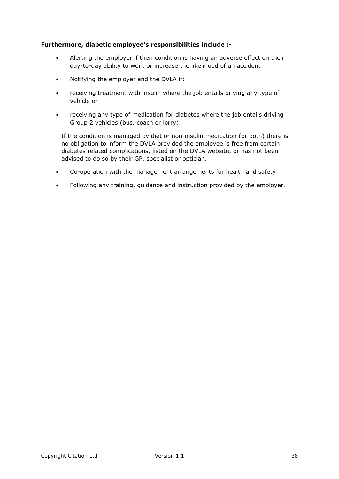# **Furthermore, diabetic employee's responsibilities include :-**

- Alerting the employer if their condition is having an adverse effect on their day-to-day ability to work or increase the likelihood of an accident
- Notifying the employer and the DVLA if:
- receiving treatment with insulin where the job entails driving any type of vehicle or
- receiving any type of medication for diabetes where the job entails driving Group 2 vehicles (bus, coach or lorry).

If the condition is managed by diet or non-insulin medication (or both) there is no obligation to inform the DVLA provided the employee is free from certain diabetes related complications, listed on the DVLA website, or has not been advised to do so by their GP, specialist or optician.

- Co-operation with the management arrangements for health and safety
- Following any training, guidance and instruction provided by the employer.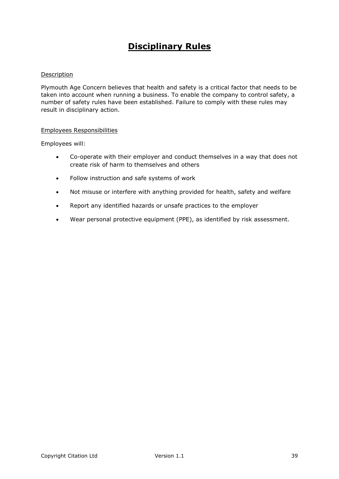# **Disciplinary Rules**

### Description

Plymouth Age Concern believes that health and safety is a critical factor that needs to be taken into account when running a business. To enable the company to control safety, a number of safety rules have been established. Failure to comply with these rules may result in disciplinary action.

### Employees Responsibilities

Employees will:

- Co-operate with their employer and conduct themselves in a way that does not create risk of harm to themselves and others
- Follow instruction and safe systems of work
- Not misuse or interfere with anything provided for health, safety and welfare
- Report any identified hazards or unsafe practices to the employer
- Wear personal protective equipment (PPE), as identified by risk assessment.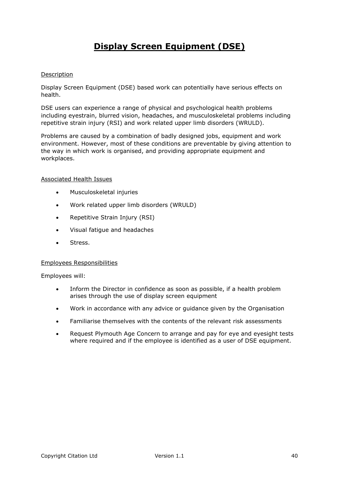# **Display Screen Equipment (DSE)**

### Description

Display Screen Equipment (DSE) based work can potentially have serious effects on health.

DSE users can experience a range of physical and psychological health problems including eyestrain, blurred vision, headaches, and musculoskeletal problems including repetitive strain injury (RSI) and work related upper limb disorders (WRULD).

Problems are caused by a combination of badly designed jobs, equipment and work environment. However, most of these conditions are preventable by giving attention to the way in which work is organised, and providing appropriate equipment and workplaces.

### Associated Health Issues

- Musculoskeletal injuries
- Work related upper limb disorders (WRULD)
- Repetitive Strain Injury (RSI)
- Visual fatigue and headaches
- Stress.

### Employees Responsibilities

#### Employees will:

- Inform the Director in confidence as soon as possible, if a health problem arises through the use of display screen equipment
- Work in accordance with any advice or guidance given by the Organisation
- Familiarise themselves with the contents of the relevant risk assessments
- Request Plymouth Age Concern to arrange and pay for eye and eyesight tests where required and if the employee is identified as a user of DSE equipment.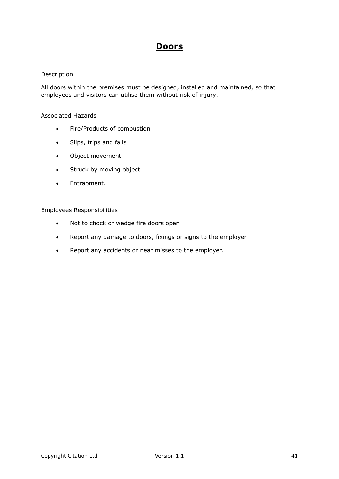# **Doors**

### Description

All doors within the premises must be designed, installed and maintained, so that employees and visitors can utilise them without risk of injury.

### Associated Hazards

- Fire/Products of combustion
- Slips, trips and falls
- Object movement
- Struck by moving object
- Entrapment.

- Not to chock or wedge fire doors open
- Report any damage to doors, fixings or signs to the employer
- Report any accidents or near misses to the employer.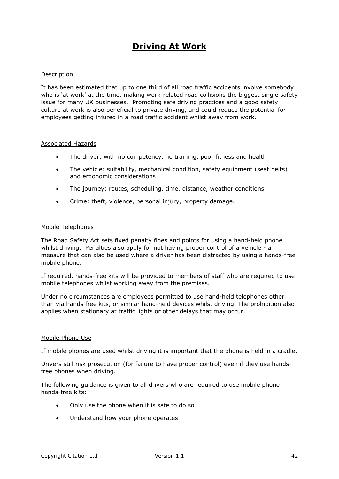# **Driving At Work**

### Description

It has been estimated that up to one third of all road traffic accidents involve somebody who is 'at work' at the time, making work-related road collisions the biggest single safety issue for many UK businesses. Promoting safe driving practices and a good safety culture at work is also beneficial to private driving, and could reduce the potential for employees getting injured in a road traffic accident whilst away from work.

### Associated Hazards

- The driver: with no competency, no training, poor fitness and health
- The vehicle: suitability, mechanical condition, safety equipment (seat belts) and ergonomic considerations
- The journey: routes, scheduling, time, distance, weather conditions
- Crime: theft, violence, personal injury, property damage.

### Mobile Telephones

The Road Safety Act sets fixed penalty fines and points for using a hand-held phone whilst driving. Penalties also apply for not having proper control of a vehicle - a measure that can also be used where a driver has been distracted by using a hands-free mobile phone.

If required, hands-free kits will be provided to members of staff who are required to use mobile telephones whilst working away from the premises.

Under no circumstances are employees permitted to use hand-held telephones other than via hands free kits, or similar hand-held devices whilst driving. The prohibition also applies when stationary at traffic lights or other delays that may occur.

### Mobile Phone Use

If mobile phones are used whilst driving it is important that the phone is held in a cradle.

Drivers still risk prosecution (for failure to have proper control) even if they use handsfree phones when driving.

The following guidance is given to all drivers who are required to use mobile phone hands-free kits:

- Only use the phone when it is safe to do so
- Understand how your phone operates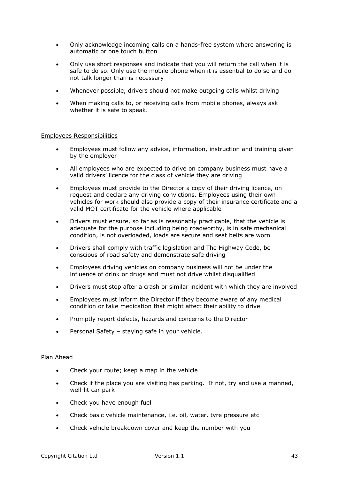- Only acknowledge incoming calls on a hands-free system where answering is automatic or one touch button
- Only use short responses and indicate that you will return the call when it is safe to do so. Only use the mobile phone when it is essential to do so and do not talk longer than is necessary
- Whenever possible, drivers should not make outgoing calls whilst driving
- When making calls to, or receiving calls from mobile phones, always ask whether it is safe to speak.

### Employees Responsibilities

- Employees must follow any advice, information, instruction and training given by the employer
- All employees who are expected to drive on company business must have a valid drivers' licence for the class of vehicle they are driving
- Employees must provide to the Director a copy of their driving licence, on request and declare any driving convictions. Employees using their own vehicles for work should also provide a copy of their insurance certificate and a valid MOT certificate for the vehicle where applicable
- Drivers must ensure, so far as is reasonably practicable, that the vehicle is adequate for the purpose including being roadworthy, is in safe mechanical condition, is not overloaded, loads are secure and seat belts are worn
- Drivers shall comply with traffic legislation and The Highway Code, be conscious of road safety and demonstrate safe driving
- Employees driving vehicles on company business will not be under the influence of drink or drugs and must not drive whilst disqualified
- Drivers must stop after a crash or similar incident with which they are involved
- Employees must inform the Director if they become aware of any medical condition or take medication that might affect their ability to drive
- Promptly report defects, hazards and concerns to the Director
- Personal Safety staying safe in your vehicle.

#### Plan Ahead

- Check your route; keep a map in the vehicle
- Check if the place you are visiting has parking. If not, try and use a manned, well-lit car park
- Check you have enough fuel
- Check basic vehicle maintenance, i.e. oil, water, tyre pressure etc
- Check vehicle breakdown cover and keep the number with you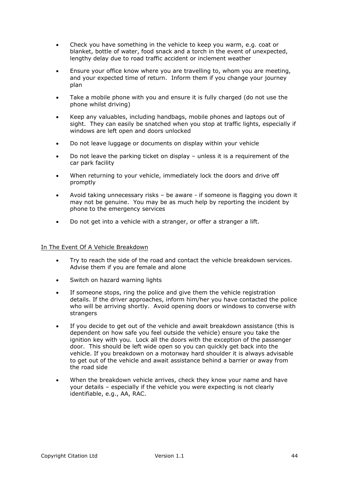- Check you have something in the vehicle to keep you warm, e.g. coat or blanket, bottle of water, food snack and a torch in the event of unexpected, lengthy delay due to road traffic accident or inclement weather
- Ensure your office know where you are travelling to, whom you are meeting, and your expected time of return. Inform them if you change your journey plan
- Take a mobile phone with you and ensure it is fully charged (do not use the phone whilst driving)
- Keep any valuables, including handbags, mobile phones and laptops out of sight. They can easily be snatched when you stop at traffic lights, especially if windows are left open and doors unlocked
- Do not leave luggage or documents on display within your vehicle
- Do not leave the parking ticket on display unless it is a requirement of the car park facility
- When returning to your vehicle, immediately lock the doors and drive off promptly
- Avoid taking unnecessary risks be aware if someone is flagging you down it may not be genuine. You may be as much help by reporting the incident by phone to the emergency services
- Do not get into a vehicle with a stranger, or offer a stranger a lift.

### In The Event Of A Vehicle Breakdown

- Try to reach the side of the road and contact the vehicle breakdown services. Advise them if you are female and alone
- Switch on hazard warning lights
- If someone stops, ring the police and give them the vehicle registration details. If the driver approaches, inform him/her you have contacted the police who will be arriving shortly. Avoid opening doors or windows to converse with strangers
- If you decide to get out of the vehicle and await breakdown assistance (this is dependent on how safe you feel outside the vehicle) ensure you take the ignition key with you. Lock all the doors with the exception of the passenger door. This should be left wide open so you can quickly get back into the vehicle. If you breakdown on a motorway hard shoulder it is always advisable to get out of the vehicle and await assistance behind a barrier or away from the road side
- When the breakdown vehicle arrives, check they know your name and have your details – especially if the vehicle you were expecting is not clearly identifiable, e.g., AA, RAC.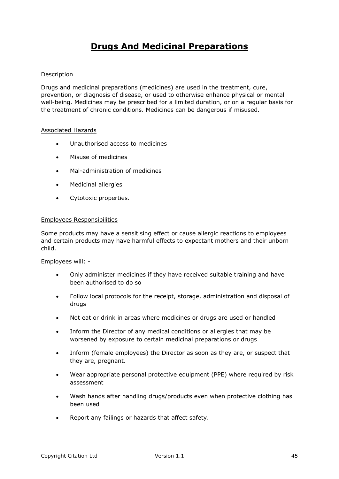# **Drugs And Medicinal Preparations**

### Description

Drugs and medicinal preparations (medicines) are used in the treatment, cure, prevention, or diagnosis of disease, or used to otherwise enhance physical or mental well-being. Medicines may be prescribed for a limited duration, or on a regular basis for the treatment of chronic conditions. Medicines can be dangerous if misused.

### Associated Hazards

- Unauthorised access to medicines
- **Misuse of medicines**
- Mal-administration of medicines
- Medicinal allergies
- Cytotoxic properties.

### Employees Responsibilities

Some products may have a sensitising effect or cause allergic reactions to employees and certain products may have harmful effects to expectant mothers and their unborn child.

Employees will: -

- Only administer medicines if they have received suitable training and have been authorised to do so
- Follow local protocols for the receipt, storage, administration and disposal of drugs
- Not eat or drink in areas where medicines or drugs are used or handled
- Inform the Director of any medical conditions or allergies that may be worsened by exposure to certain medicinal preparations or drugs
- Inform (female employees) the Director as soon as they are, or suspect that they are, pregnant.
- Wear appropriate personal protective equipment (PPE) where required by risk assessment
- Wash hands after handling drugs/products even when protective clothing has been used
- Report any failings or hazards that affect safety.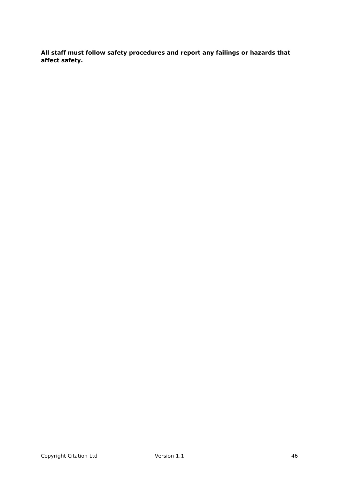**All staff must follow safety procedures and report any failings or hazards that affect safety.**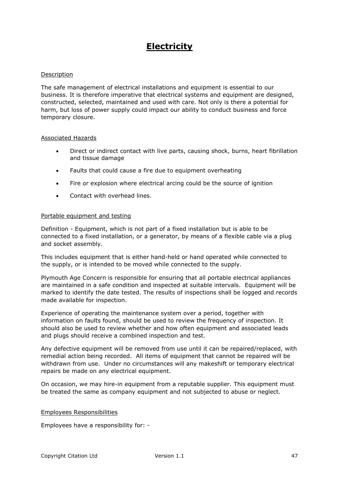# **Electricity**

### Description

The safe management of electrical installations and equipment is essential to our business. It is therefore imperative that electrical systems and equipment are designed, constructed, selected, maintained and used with care. Not only is there a potential for harm, but loss of power supply could impact our ability to conduct business and force temporary closure.

### Associated Hazards

- Direct or indirect contact with live parts, causing shock, burns, heart fibrillation and tissue damage
- Faults that could cause a fire due to equipment overheating
- Fire or explosion where electrical arcing could be the source of ignition
- Contact with overhead lines.

### Portable equipment and testing

Definition - Equipment, which is not part of a fixed installation but is able to be connected to a fixed installation, or a generator, by means of a flexible cable via a plug and socket assembly.

This includes equipment that is either hand-held or hand operated while connected to the supply, or is intended to be moved while connected to the supply.

Plymouth Age Concern is responsible for ensuring that all portable electrical appliances are maintained in a safe condition and inspected at suitable intervals. Equipment will be marked to identify the date tested. The results of inspections shall be logged and records made available for inspection.

Experience of operating the maintenance system over a period, together with information on faults found, should be used to review the frequency of inspection. It should also be used to review whether and how often equipment and associated leads and plugs should receive a combined inspection and test.

Any defective equipment will be removed from use until it can be repaired/replaced, with remedial action being recorded. All items of equipment that cannot be repaired will be withdrawn from use. Under no circumstances will any makeshift or temporary electrical repairs be made on any electrical equipment.

On occasion, we may hire-in equipment from a reputable supplier. This equipment must be treated the same as company equipment and not subjected to abuse or neglect.

### Employees Responsibilities

Employees have a responsibility for: -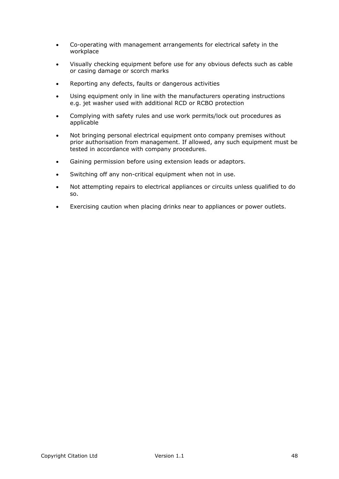- Co-operating with management arrangements for electrical safety in the workplace
- Visually checking equipment before use for any obvious defects such as cable or casing damage or scorch marks
- Reporting any defects, faults or dangerous activities
- Using equipment only in line with the manufacturers operating instructions e.g. jet washer used with additional RCD or RCBO protection
- Complying with safety rules and use work permits/lock out procedures as applicable
- Not bringing personal electrical equipment onto company premises without prior authorisation from management. If allowed, any such equipment must be tested in accordance with company procedures.
- Gaining permission before using extension leads or adaptors.
- Switching off any non-critical equipment when not in use.
- Not attempting repairs to electrical appliances or circuits unless qualified to do so.
- Exercising caution when placing drinks near to appliances or power outlets.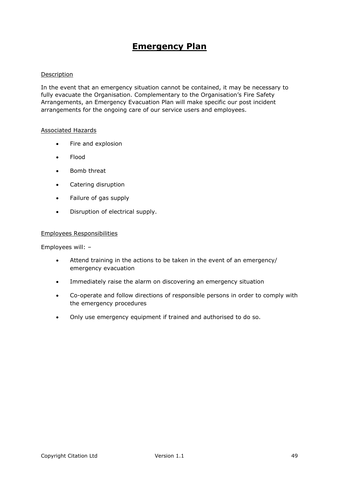# **Emergency Plan**

### Description

In the event that an emergency situation cannot be contained, it may be necessary to fully evacuate the Organisation. Complementary to the Organisation's Fire Safety Arrangements, an Emergency Evacuation Plan will make specific our post incident arrangements for the ongoing care of our service users and employees.

### Associated Hazards

- Fire and explosion
- Flood
- Bomb threat
- Catering disruption
- Failure of gas supply
- Disruption of electrical supply.

### Employees Responsibilities

Employees will: –

- Attend training in the actions to be taken in the event of an emergency/ emergency evacuation
- Immediately raise the alarm on discovering an emergency situation
- Co-operate and follow directions of responsible persons in order to comply with the emergency procedures
- Only use emergency equipment if trained and authorised to do so.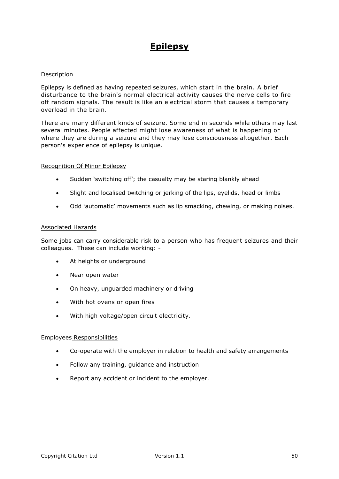# **Epilepsy**

### Description

Epilepsy is defined as having repeated seizures, which start in the brain. A brief disturbance to the brain's normal electrical activity causes the nerve cells to fire off random signals. The result is like an electrical storm that causes a temporary overload in the brain.

There are many different kinds of seizure. Some end in seconds while others may last several minutes. People affected might lose awareness of what is happening or where they are during a seizure and they may lose consciousness altogether. Each person's experience of epilepsy is unique.

### Recognition Of Minor Epilepsy

- Sudden 'switching off'; the casualty may be staring blankly ahead
- Slight and localised twitching or jerking of the lips, eyelids, head or limbs
- Odd 'automatic' movements such as lip smacking, chewing, or making noises.

### Associated Hazards

Some jobs can carry considerable risk to a person who has frequent seizures and their colleagues. These can include working: -

- At heights or underground
- Near open water
- On heavy, unguarded machinery or driving
- With hot ovens or open fires
- With high voltage/open circuit electricity.

- Co-operate with the employer in relation to health and safety arrangements
- Follow any training, quidance and instruction
- Report any accident or incident to the employer.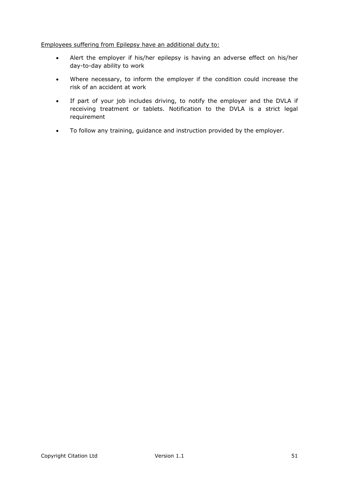### Employees suffering from Epilepsy have an additional duty to:

- Alert the employer if his/her epilepsy is having an adverse effect on his/her day-to-day ability to work
- Where necessary, to inform the employer if the condition could increase the risk of an accident at work
- If part of your job includes driving, to notify the employer and the DVLA if receiving treatment or tablets. Notification to the DVLA is a strict legal requirement
- To follow any training, guidance and instruction provided by the employer.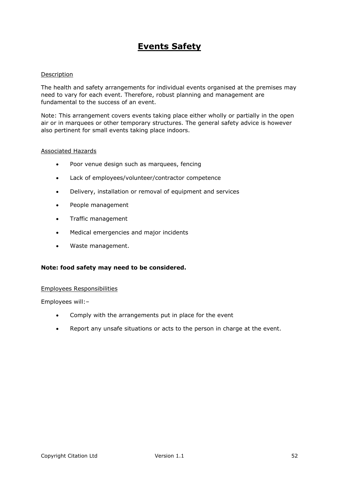# **Events Safety**

### Description

The health and safety arrangements for individual events organised at the premises may need to vary for each event. Therefore, robust planning and management are fundamental to the success of an event.

Note: This arrangement covers events taking place either wholly or partially in the open air or in marquees or other temporary structures. The general safety advice is however also pertinent for small events taking place indoors.

### Associated Hazards

- Poor venue design such as marquees, fencing
- Lack of employees/volunteer/contractor competence
- Delivery, installation or removal of equipment and services
- People management
- Traffic management
- Medical emergencies and major incidents
- Waste management.

### **Note: food safety may need to be considered.**

#### Employees Responsibilities

Employees will:–

- Comply with the arrangements put in place for the event
- Report any unsafe situations or acts to the person in charge at the event.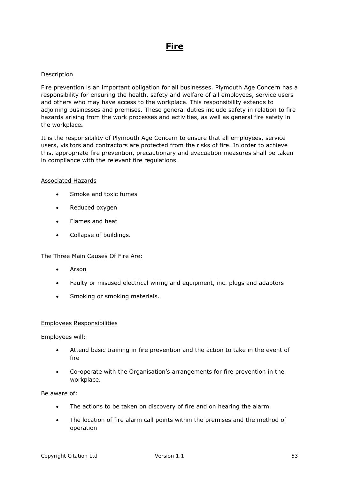# **Fire**

### Description

Fire prevention is an important obligation for all businesses. Plymouth Age Concern has a responsibility for ensuring the health, safety and welfare of all employees, service users and others who may have access to the workplace. This responsibility extends to adjoining businesses and premises. These general duties include safety in relation to fire hazards arising from the work processes and activities, as well as general fire safety in the workplace**.**

It is the responsibility of Plymouth Age Concern to ensure that all employees, service users, visitors and contractors are protected from the risks of fire. In order to achieve this, appropriate fire prevention, precautionary and evacuation measures shall be taken in compliance with the relevant fire regulations.

### Associated Hazards

- Smoke and toxic fumes
- Reduced oxygen
- Flames and heat
- Collapse of buildings.

### The Three Main Causes Of Fire Are:

- Arson
- Faulty or misused electrical wiring and equipment, inc. plugs and adaptors
- Smoking or smoking materials.

### Employees Responsibilities

Employees will:

- Attend basic training in fire prevention and the action to take in the event of fire
- Co-operate with the Organisation's arrangements for fire prevention in the workplace.

Be aware of:

- The actions to be taken on discovery of fire and on hearing the alarm
- The location of fire alarm call points within the premises and the method of operation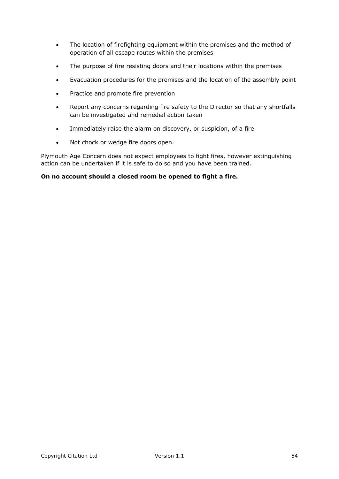- The location of firefighting equipment within the premises and the method of operation of all escape routes within the premises
- The purpose of fire resisting doors and their locations within the premises
- Evacuation procedures for the premises and the location of the assembly point
- Practice and promote fire prevention
- Report any concerns regarding fire safety to the Director so that any shortfalls can be investigated and remedial action taken
- Immediately raise the alarm on discovery, or suspicion, of a fire
- Not chock or wedge fire doors open.

Plymouth Age Concern does not expect employees to fight fires, however extinguishing action can be undertaken if it is safe to do so and you have been trained.

# **On no account should a closed room be opened to fight a fire.**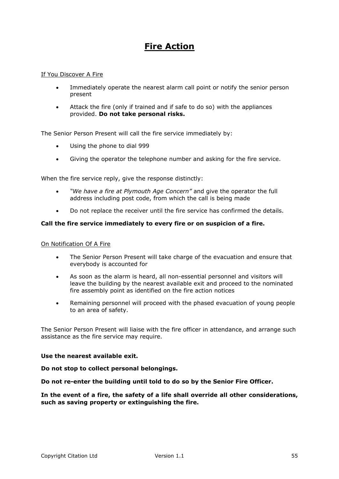# **Fire Action**

### If You Discover A Fire

- Immediately operate the nearest alarm call point or notify the senior person present
- Attack the fire (only if trained and if safe to do so) with the appliances provided. **Do not take personal risks.**

The Senior Person Present will call the fire service immediately by:

- Using the phone to dial 999
- Giving the operator the telephone number and asking for the fire service.

When the fire service reply, give the response distinctly:

- *"We have a fire at Plymouth Age Concern"* and give the operator the full address including post code, from which the call is being made
- Do not replace the receiver until the fire service has confirmed the details.

### **Call the fire service immediately to every fire or on suspicion of a fire.**

### On Notification Of A Fire

- The Senior Person Present will take charge of the evacuation and ensure that everybody is accounted for
- As soon as the alarm is heard, all non-essential personnel and visitors will leave the building by the nearest available exit and proceed to the nominated fire assembly point as identified on the fire action notices
- Remaining personnel will proceed with the phased evacuation of young people to an area of safety.

The Senior Person Present will liaise with the fire officer in attendance, and arrange such assistance as the fire service may require.

### **Use the nearest available exit.**

**Do not stop to collect personal belongings.**

**Do not re-enter the building until told to do so by the Senior Fire Officer.**

**In the event of a fire, the safety of a life shall override all other considerations, such as saving property or extinguishing the fire.**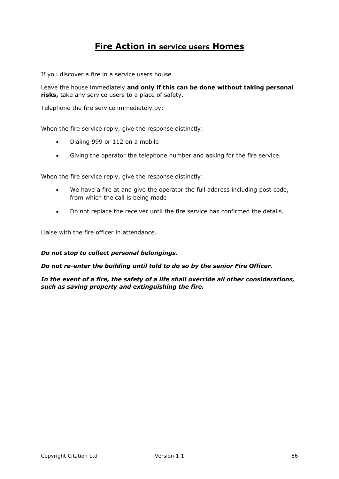# **Fire Action in service users Homes**

If you discover a fire in a service users house

Leave the house immediately **and only if this can be done without taking personal risks,** take any service users to a place of safety.

Telephone the fire service immediately by:

When the fire service reply, give the response distinctly:

- Dialing 999 or 112 on a mobile
- Giving the operator the telephone number and asking for the fire service.

When the fire service reply, give the response distinctly:

- We have a fire at and give the operator the full address including post code, from which the call is being made
- Do not replace the receiver until the fire service has confirmed the details.

Liaise with the fire officer in attendance.

#### *Do not stop to collect personal belongings.*

#### *Do not re-enter the building until told to do so by the senior Fire Officer.*

*In the event of a fire, the safety of a life shall override all other considerations, such as saving property and extinguishing the fire.*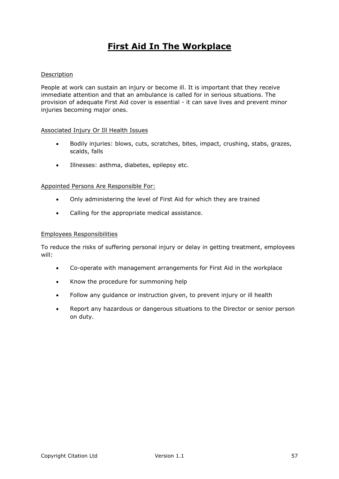# **First Aid In The Workplace**

### Description

People at work can sustain an injury or become ill. It is important that they receive immediate attention and that an ambulance is called for in serious situations. The provision of adequate First Aid cover is essential - it can save lives and prevent minor injuries becoming major ones.

### Associated Injury Or Ill Health Issues

- Bodily injuries: blows, cuts, scratches, bites, impact, crushing, stabs, grazes, scalds, falls
- Illnesses: asthma, diabetes, epilepsy etc.

### Appointed Persons Are Responsible For:

- Only administering the level of First Aid for which they are trained
- Calling for the appropriate medical assistance.

### Employees Responsibilities

To reduce the risks of suffering personal injury or delay in getting treatment, employees will:

- Co-operate with management arrangements for First Aid in the workplace
- Know the procedure for summoning help
- Follow any guidance or instruction given, to prevent injury or ill health
- Report any hazardous or dangerous situations to the Director or senior person on duty.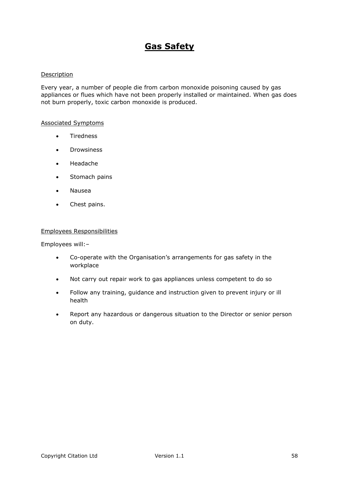# **Gas Safety**

### Description

Every year, a number of people die from carbon monoxide poisoning caused by gas appliances or flues which have not been properly installed or maintained. When gas does not burn properly, toxic carbon monoxide is produced.

### Associated Symptoms

- **•** Tiredness
- Drowsiness
- Headache
- Stomach pains
- Nausea
- Chest pains.

### Employees Responsibilities

Employees will:–

- Co-operate with the Organisation's arrangements for gas safety in the workplace
- Not carry out repair work to gas appliances unless competent to do so
- Follow any training, guidance and instruction given to prevent injury or ill health
- Report any hazardous or dangerous situation to the Director or senior person on duty.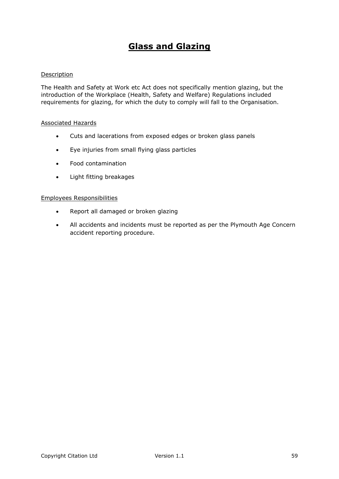# **Glass and Glazing**

### Description

The Health and Safety at Work etc Act does not specifically mention glazing, but the introduction of the Workplace (Health, Safety and Welfare) Regulations included requirements for glazing, for which the duty to comply will fall to the Organisation.

### Associated Hazards

- Cuts and lacerations from exposed edges or broken glass panels
- Eye injuries from small flying glass particles
- Food contamination
- Light fitting breakages

- Report all damaged or broken glazing
- All accidents and incidents must be reported as per the Plymouth Age Concern accident reporting procedure.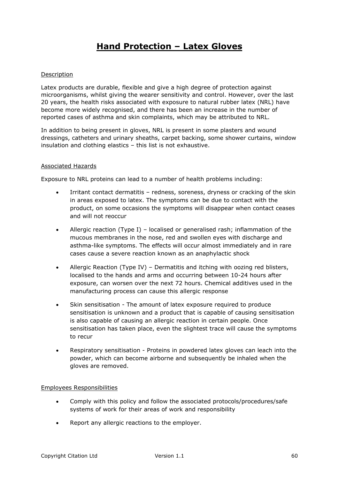# **Hand Protection – Latex Gloves**

### Description

Latex products are durable, flexible and give a high degree of protection against microorganisms, whilst giving the wearer sensitivity and control. However, over the last 20 years, the health risks associated with exposure to natural rubber latex (NRL) have become more widely recognised, and there has been an increase in the number of reported cases of asthma and skin complaints, which may be attributed to NRL.

In addition to being present in gloves, NRL is present in some plasters and wound dressings, catheters and urinary sheaths, carpet backing, some shower curtains, window insulation and clothing elastics – this list is not exhaustive.

### Associated Hazards

Exposure to NRL proteins can lead to a number of health problems including:

- Irritant contact dermatitis redness, soreness, dryness or cracking of the skin in areas exposed to latex. The symptoms can be due to contact with the product, on some occasions the symptoms will disappear when contact ceases and will not reoccur
- Allergic reaction (Type I) localised or generalised rash; inflammation of the mucous membranes in the nose, red and swollen eyes with discharge and asthma-like symptoms. The effects will occur almost immediately and in rare cases cause a severe reaction known as an anaphylactic shock
- Allergic Reaction (Type IV) Dermatitis and itching with oozing red blisters, localised to the hands and arms and occurring between 10-24 hours after exposure, can worsen over the next 72 hours. Chemical additives used in the manufacturing process can cause this allergic response
- Skin sensitisation The amount of latex exposure required to produce sensitisation is unknown and a product that is capable of causing sensitisation is also capable of causing an allergic reaction in certain people. Once sensitisation has taken place, even the slightest trace will cause the symptoms to recur
- Respiratory sensitisation Proteins in powdered latex gloves can leach into the powder, which can become airborne and subsequently be inhaled when the gloves are removed.

- Comply with this policy and follow the associated protocols/procedures/safe systems of work for their areas of work and responsibility
- Report any allergic reactions to the employer.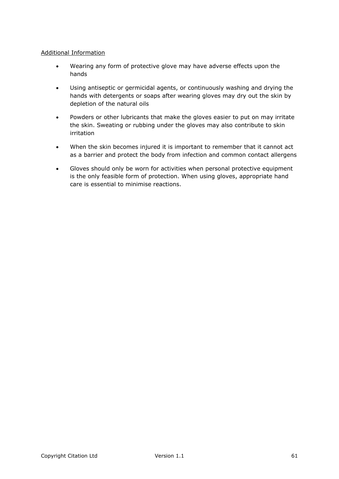# Additional Information

- Wearing any form of protective glove may have adverse effects upon the hands
- Using antiseptic or germicidal agents, or continuously washing and drying the hands with detergents or soaps after wearing gloves may dry out the skin by depletion of the natural oils
- Powders or other lubricants that make the gloves easier to put on may irritate the skin. Sweating or rubbing under the gloves may also contribute to skin irritation
- When the skin becomes injured it is important to remember that it cannot act as a barrier and protect the body from infection and common contact allergens
- Gloves should only be worn for activities when personal protective equipment is the only feasible form of protection. When using gloves, appropriate hand care is essential to minimise reactions.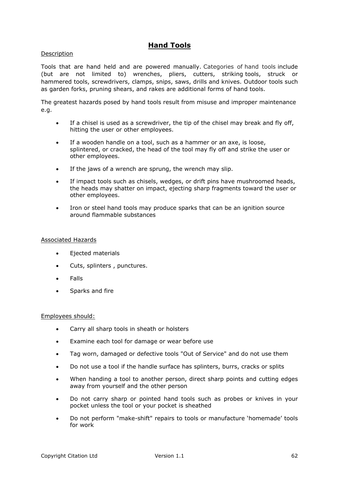# **Hand Tools**

### Description

Tools that are hand held and are powered manually. Categories of hand tools include (but are not limited to) wrenches, pliers, cutters, striking tools, struck or hammered tools, screwdrivers, clamps, snips, saws, drills and knives. Outdoor tools such as garden forks, pruning shears, and rakes are additional forms of hand tools.

The greatest hazards posed by hand tools result from misuse and improper maintenance e.g.

- If a chisel is used as a screwdriver, the tip of the chisel may break and fly off, hitting the user or other employees.
- If a wooden handle on a tool, such as a hammer or an axe, is loose, splintered, or cracked, the head of the tool may fly off and strike the user or other employees.
- If the jaws of a wrench are sprung, the wrench may slip.
- If impact tools such as chisels, wedges, or drift pins have mushroomed heads, the heads may shatter on impact, ejecting sharp fragments toward the user or other employees.
- Iron or steel hand tools may produce sparks that can be an ignition source around flammable substances

### Associated Hazards

- **•** Ejected materials
- Cuts, splinters , punctures.
- Falls
- Sparks and fire

#### Employees should:

- Carry all sharp tools in sheath or holsters
- Examine each tool for damage or wear before use
- Tag worn, damaged or defective tools "Out of Service" and do not use them
- Do not use a tool if the handle surface has splinters, burrs, cracks or splits
- When handing a tool to another person, direct sharp points and cutting edges away from yourself and the other person
- Do not carry sharp or pointed hand tools such as probes or knives in your pocket unless the tool or your pocket is sheathed
- Do not perform "make-shift" repairs to tools or manufacture 'homemade' tools for work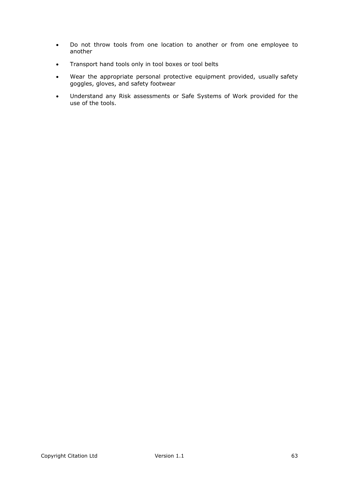- Do not throw tools from one location to another or from one employee to another
- Transport hand tools only in tool boxes or tool belts
- Wear the appropriate personal protective equipment provided, usually safety goggles, gloves, and safety footwear
- Understand any Risk assessments or Safe Systems of Work provided for the use of the tools.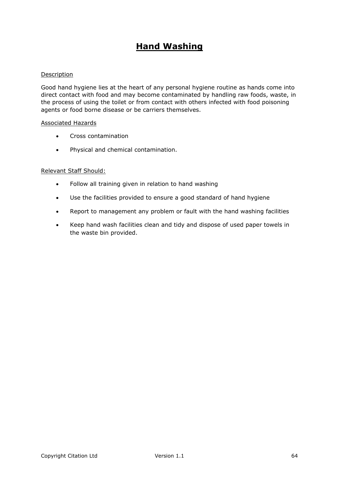# **Hand Washing**

### Description

Good hand hygiene lies at the heart of any personal hygiene routine as hands come into direct contact with food and may become contaminated by handling raw foods, waste, in the process of using the toilet or from contact with others infected with food poisoning agents or food borne disease or be carriers themselves.

### Associated Hazards

- Cross contamination
- Physical and chemical contamination.

### Relevant Staff Should:

- Follow all training given in relation to hand washing
- Use the facilities provided to ensure a good standard of hand hygiene
- Report to management any problem or fault with the hand washing facilities
- Keep hand wash facilities clean and tidy and dispose of used paper towels in the waste bin provided.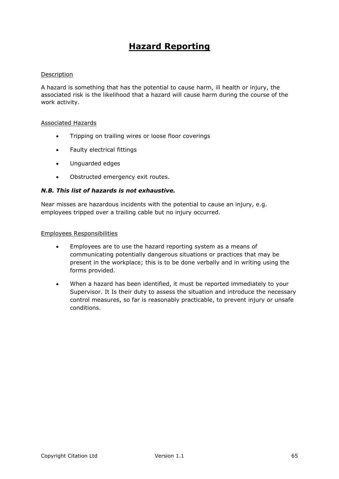# **Hazard Reporting**

### Description

A hazard is something that has the potential to cause harm, ill health or injury, the associated risk is the likelihood that a hazard will cause harm during the course of the work activity.

### Associated Hazards

- Tripping on trailing wires or loose floor coverings
- Faulty electrical fittings
- Unguarded edges
- Obstructed emergency exit routes.

### *N.B. This list of hazards is not exhaustive.*

Near misses are hazardous incidents with the potential to cause an injury, e.g. employees tripped over a trailing cable but no injury occurred.

- Employees are to use the hazard reporting system as a means of communicating potentially dangerous situations or practices that may be present in the workplace; this is to be done verbally and in writing using the forms provided.
- When a hazard has been identified, it must be reported immediately to your Supervisor. It Is their duty to assess the situation and introduce the necessary control measures, so far is reasonably practicable, to prevent injury or unsafe conditions.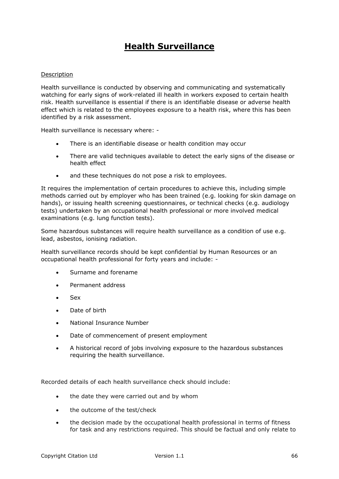# **Health Surveillance**

### Description

Health surveillance is conducted by observing and communicating and systematically watching for early signs of work-related ill health in workers exposed to certain health risk. Health surveillance is essential if there is an identifiable disease or adverse health effect which is related to the employees exposure to a health risk, where this has been identified by a risk assessment.

Health surveillance is necessary where: -

- There is an identifiable disease or health condition may occur
- There are valid techniques available to detect the early signs of the disease or health effect
- and these techniques do not pose a risk to employees.

It requires the implementation of certain procedures to achieve this, including simple methods carried out by employer who has been trained (e.g. looking for skin damage on hands), or issuing health screening questionnaires, or technical checks (e.g. audiology tests) undertaken by an occupational health professional or more involved medical examinations (e.g. lung function tests).

Some hazardous substances will require health surveillance as a condition of use e.g. lead, asbestos, ionising radiation.

Health surveillance records should be kept confidential by Human Resources or an occupational health professional for forty years and include: -

- Surname and forename
- Permanent address
- Sex
- Date of birth
- National Insurance Number
- Date of commencement of present employment
- A historical record of jobs involving exposure to the hazardous substances requiring the health surveillance.

Recorded details of each health surveillance check should include:

- the date they were carried out and by whom
- the outcome of the test/check
- the decision made by the occupational health professional in terms of fitness for task and any restrictions required. This should be factual and only relate to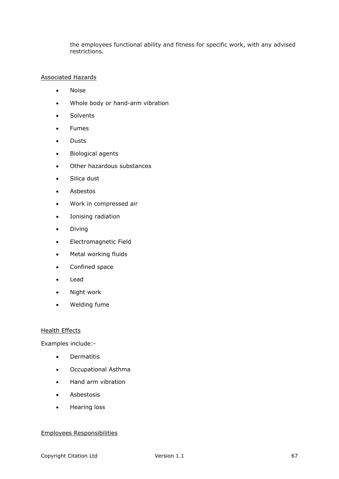the employees functional ability and fitness for specific work, with any advised restrictions.

### Associated Hazards

- Noise
- Whole body or hand-arm vibration
- Solvents
- Fumes
- Dusts
- Biological agents
- Other hazardous substances
- Silica dust
- Asbestos
- Work in compressed air
- Ionising radiation
- Diving
- Electromagnetic Field
- Metal working fluids
- Confined space
- Lead
- Night work
- Welding fume

### Health Effects

Examples include:-

- **•** Dermatitis
- Occupational Asthma
- Hand arm vibration
- Asbestosis
- Hearing loss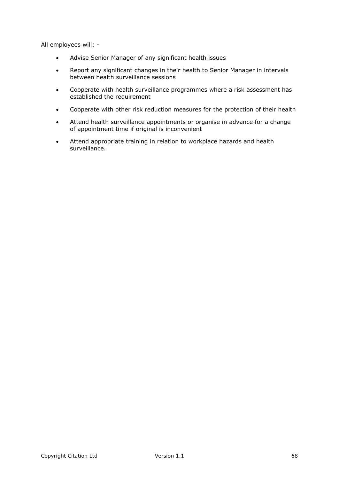All employees will: -

- Advise Senior Manager of any significant health issues
- Report any significant changes in their health to Senior Manager in intervals between health surveillance sessions
- Cooperate with health surveillance programmes where a risk assessment has established the requirement
- Cooperate with other risk reduction measures for the protection of their health
- Attend health surveillance appointments or organise in advance for a change of appointment time if original is inconvenient
- Attend appropriate training in relation to workplace hazards and health surveillance.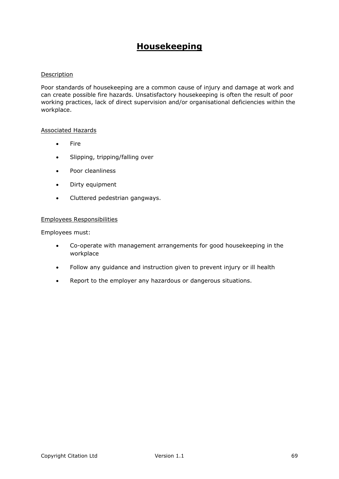# **Housekeeping**

### Description

Poor standards of housekeeping are a common cause of injury and damage at work and can create possible fire hazards. Unsatisfactory housekeeping is often the result of poor working practices, lack of direct supervision and/or organisational deficiencies within the workplace.

### Associated Hazards

- Fire
- Slipping, tripping/falling over
- Poor cleanliness
- Dirty equipment
- Cluttered pedestrian gangways.

### Employees Responsibilities

Employees must:

- Co-operate with management arrangements for good housekeeping in the workplace
- Follow any guidance and instruction given to prevent injury or ill health
- Report to the employer any hazardous or dangerous situations.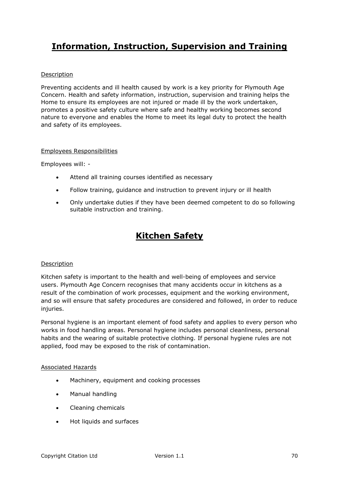# **Information, Instruction, Supervision and Training**

# Description

Preventing accidents and ill health caused by work is a key priority for Plymouth Age Concern. Health and safety information, instruction, supervision and training helps the Home to ensure its employees are not injured or made ill by the work undertaken, promotes a positive safety culture where safe and healthy working becomes second nature to everyone and enables the Home to meet its legal duty to protect the health and safety of its employees.

### Employees Responsibilities

Employees will: -

- Attend all training courses identified as necessary
- Follow training, guidance and instruction to prevent injury or ill health
- Only undertake duties if they have been deemed competent to do so following suitable instruction and training.

# **Kitchen Safety**

### Description

Kitchen safety is important to the health and well-being of employees and service users. Plymouth Age Concern recognises that many accidents occur in kitchens as a result of the combination of work processes, equipment and the working environment, and so will ensure that safety procedures are considered and followed, in order to reduce injuries.

Personal hygiene is an important element of food safety and applies to every person who works in food handling areas. Personal hygiene includes personal cleanliness, personal habits and the wearing of suitable protective clothing. If personal hygiene rules are not applied, food may be exposed to the risk of contamination.

### Associated Hazards

- Machinery, equipment and cooking processes
- Manual handling
- Cleaning chemicals
- Hot liquids and surfaces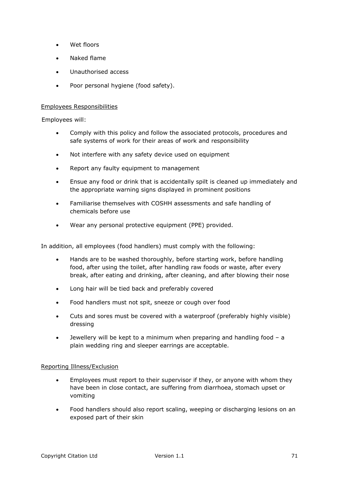- Wet floors
- Naked flame
- Unauthorised access
- Poor personal hygiene (food safety).

### Employees Responsibilities

Employees will:

- Comply with this policy and follow the associated protocols, procedures and safe systems of work for their areas of work and responsibility
- Not interfere with any safety device used on equipment
- Report any faulty equipment to management
- Ensue any food or drink that is accidentally spilt is cleaned up immediately and the appropriate warning signs displayed in prominent positions
- Familiarise themselves with COSHH assessments and safe handling of chemicals before use
- Wear any personal protective equipment (PPE) provided.

In addition, all employees (food handlers) must comply with the following:

- Hands are to be washed thoroughly, before starting work, before handling food, after using the toilet, after handling raw foods or waste, after every break, after eating and drinking, after cleaning, and after blowing their nose
- Long hair will be tied back and preferably covered
- Food handlers must not spit, sneeze or cough over food
- Cuts and sores must be covered with a waterproof (preferably highly visible) dressing
- Jewellery will be kept to a minimum when preparing and handling food a plain wedding ring and sleeper earrings are acceptable.

### Reporting Illness/Exclusion

- Employees must report to their supervisor if they, or anyone with whom they have been in close contact, are suffering from diarrhoea, stomach upset or vomiting
- Food handlers should also report scaling, weeping or discharging lesions on an exposed part of their skin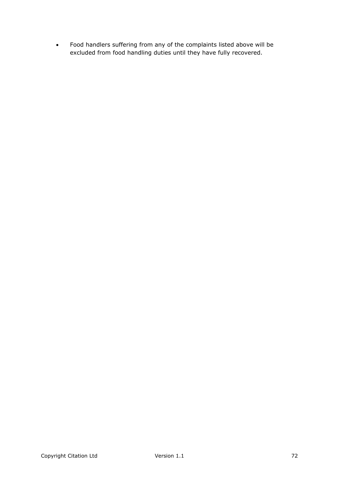Food handlers suffering from any of the complaints listed above will be excluded from food handling duties until they have fully recovered.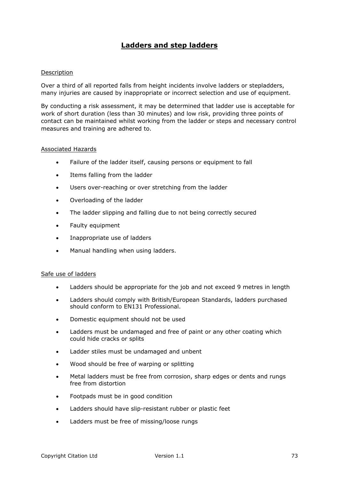## **Ladders and step ladders**

#### Description

Over a third of all reported falls from height incidents involve ladders or stepladders, many injuries are caused by inappropriate or incorrect selection and use of equipment.

By conducting a risk assessment, it may be determined that ladder use is acceptable for work of short duration (less than 30 minutes) and low risk, providing three points of contact can be maintained whilst working from the ladder or steps and necessary control measures and training are adhered to.

#### Associated Hazards

- Failure of the ladder itself, causing persons or equipment to fall
- Items falling from the ladder
- Users over-reaching or over stretching from the ladder
- Overloading of the ladder
- The ladder slipping and falling due to not being correctly secured
- Faulty equipment
- Inappropriate use of ladders
- Manual handling when using ladders.

### Safe use of ladders

- Ladders should be appropriate for the job and not exceed 9 metres in length
- Ladders should comply with British/European Standards, ladders purchased should conform to EN131 Professional.
- Domestic equipment should not be used
- Ladders must be undamaged and free of paint or any other coating which could hide cracks or splits
- Ladder stiles must be undamaged and unbent
- Wood should be free of warping or splitting
- Metal ladders must be free from corrosion, sharp edges or dents and rungs free from distortion
- Footpads must be in good condition
- Ladders should have slip-resistant rubber or plastic feet
- Ladders must be free of missing/loose rungs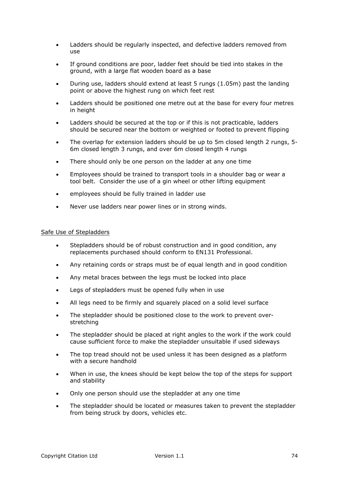- Ladders should be regularly inspected, and defective ladders removed from use
- If ground conditions are poor, ladder feet should be tied into stakes in the ground, with a large flat wooden board as a base
- During use, ladders should extend at least 5 rungs (1.05m) past the landing point or above the highest rung on which feet rest
- Ladders should be positioned one metre out at the base for every four metres in height
- Ladders should be secured at the top or if this is not practicable, ladders should be secured near the bottom or weighted or footed to prevent flipping
- The overlap for extension ladders should be up to 5m closed length 2 rungs, 5- 6m closed length 3 rungs, and over 6m closed length 4 rungs
- There should only be one person on the ladder at any one time
- Employees should be trained to transport tools in a shoulder bag or wear a tool belt. Consider the use of a gin wheel or other lifting equipment
- employees should be fully trained in ladder use
- Never use ladders near power lines or in strong winds.

#### Safe Use of Stepladders

- Stepladders should be of robust construction and in good condition, any replacements purchased should conform to EN131 Professional.
- Any retaining cords or straps must be of equal length and in good condition
- Any metal braces between the legs must be locked into place
- Legs of stepladders must be opened fully when in use
- All legs need to be firmly and squarely placed on a solid level surface
- The stepladder should be positioned close to the work to prevent overstretching
- The stepladder should be placed at right angles to the work if the work could cause sufficient force to make the stepladder unsuitable if used sideways
- The top tread should not be used unless it has been designed as a platform with a secure handhold
- When in use, the knees should be kept below the top of the steps for support and stability
- Only one person should use the stepladder at any one time
- The stepladder should be located or measures taken to prevent the stepladder from being struck by doors, vehicles etc.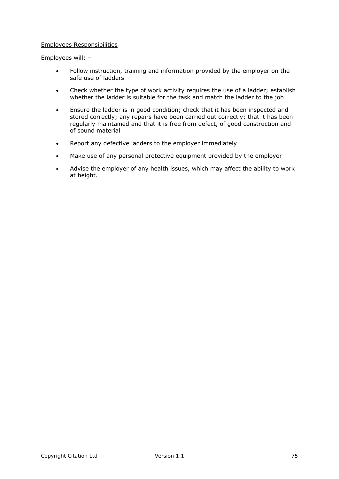#### Employees Responsibilities

Employees will: –

- Follow instruction, training and information provided by the employer on the safe use of ladders
- Check whether the type of work activity requires the use of a ladder; establish whether the ladder is suitable for the task and match the ladder to the job
- Ensure the ladder is in good condition; check that it has been inspected and stored correctly; any repairs have been carried out correctly; that it has been regularly maintained and that it is free from defect, of good construction and of sound material
- Report any defective ladders to the employer immediately
- Make use of any personal protective equipment provided by the employer
- Advise the employer of any health issues, which may affect the ability to work at height.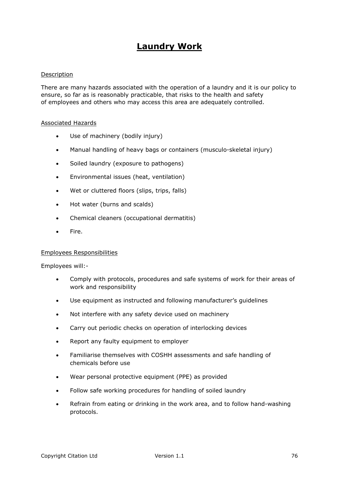## **Laundry Work**

#### Description

There are many hazards associated with the operation of a laundry and it is our policy to ensure, so far as is reasonably practicable, that risks to the health and safety of employees and others who may access this area are adequately controlled.

#### Associated Hazards

- Use of machinery (bodily injury)
- Manual handling of heavy bags or containers (musculo-skeletal injury)
- Soiled laundry (exposure to pathogens)
- Environmental issues (heat, ventilation)
- Wet or cluttered floors (slips, trips, falls)
- Hot water (burns and scalds)
- Chemical cleaners (occupational dermatitis)
- Fire.

#### Employees Responsibilities

Employees will:-

- Comply with protocols, procedures and safe systems of work for their areas of work and responsibility
- Use equipment as instructed and following manufacturer's guidelines
- Not interfere with any safety device used on machinery
- Carry out periodic checks on operation of interlocking devices
- Report any faulty equipment to employer
- Familiarise themselves with COSHH assessments and safe handling of chemicals before use
- Wear personal protective equipment (PPE) as provided
- Follow safe working procedures for handling of soiled laundry
- Refrain from eating or drinking in the work area, and to follow hand-washing protocols.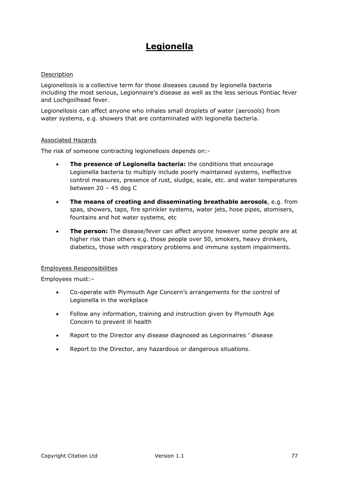## **Legionella**

#### Description

Legionellosis is a collective term for those diseases caused by legionella bacteria including the most serious, Legionnaire's disease as well as the less serious Pontiac fever and Lochgoilhead fever.

Legionellosis can affect anyone who inhales small droplets of water (aerosols) from water systems, e.g. showers that are contaminated with legionella bacteria.

#### Associated Hazards

The risk of someone contracting legionellosis depends on:-

- **The presence of Legionella bacteria:** the conditions that encourage Legionella bacteria to multiply include poorly maintained systems, ineffective control measures, presence of rust, sludge, scale, etc. and water temperatures between 20 – 45 deg C
- **The means of creating and disseminating breathable aerosols**, e.g. from spas, showers, taps, fire sprinkler systems, water jets, hose pipes, atomisers, fountains and hot water systems, etc
- **The person:** The disease/fever can affect anyone however some people are at higher risk than others e.g. those people over 50, smokers, heavy drinkers, diabetics, those with respiratory problems and immune system impairments.

#### Employees Responsibilities

Employees must:–

- Co-operate with Plymouth Age Concern's arrangements for the control of Legionella in the workplace
- Follow any information, training and instruction given by Plymouth Age Concern to prevent ill health
- Report to the Director any disease diagnosed as Legionnaires ' disease
- Report to the Director, any hazardous or dangerous situations.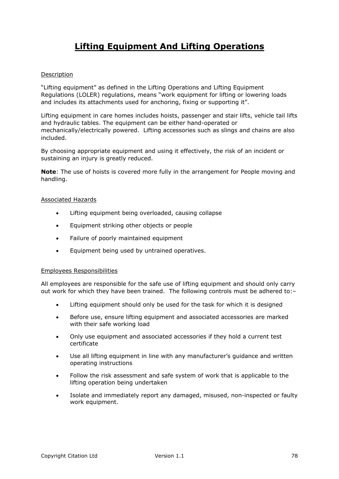# **Lifting Equipment And Lifting Operations**

### Description

"Lifting equipment" as defined in the Lifting Operations and Lifting Equipment Regulations (LOLER) regulations, means "work equipment for lifting or lowering loads and includes its attachments used for anchoring, fixing or supporting it".

Lifting equipment in care homes includes hoists, passenger and stair lifts, vehicle tail lifts and hydraulic tables. The equipment can be either hand-operated or mechanically/electrically powered. Lifting accessories such as slings and chains are also included.

By choosing appropriate equipment and using it effectively, the risk of an incident or sustaining an injury is greatly reduced.

**Note**: The use of hoists is covered more fully in the arrangement for People moving and handling.

#### Associated Hazards

- Lifting equipment being overloaded, causing collapse
- Equipment striking other objects or people
- Failure of poorly maintained equipment
- Equipment being used by untrained operatives.

#### Employees Responsibilities

All employees are responsible for the safe use of lifting equipment and should only carry out work for which they have been trained. The following controls must be adhered to:–

- Lifting equipment should only be used for the task for which it is designed
- Before use, ensure lifting equipment and associated accessories are marked with their safe working load
- Only use equipment and associated accessories if they hold a current test certificate
- Use all lifting equipment in line with any manufacturer's guidance and written operating instructions
- Follow the risk assessment and safe system of work that is applicable to the lifting operation being undertaken
- Isolate and immediately report any damaged, misused, non-inspected or faulty work equipment.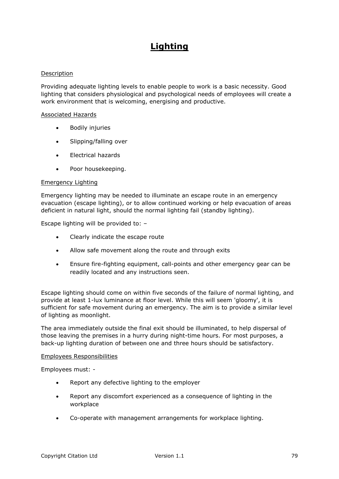# **Lighting**

### Description

Providing adequate lighting levels to enable people to work is a basic necessity. Good lighting that considers physiological and psychological needs of employees will create a work environment that is welcoming, energising and productive.

#### Associated Hazards

- Bodily injuries
- Slipping/falling over
- Electrical hazards
- Poor housekeeping.

#### Emergency Lighting

Emergency lighting may be needed to illuminate an escape route in an emergency evacuation (escape lighting), or to allow continued working or help evacuation of areas deficient in natural light, should the normal lighting fail (standby lighting).

Escape lighting will be provided to: –

- Clearly indicate the escape route
- Allow safe movement along the route and through exits
- Ensure fire-fighting equipment, call-points and other emergency gear can be readily located and any instructions seen.

Escape lighting should come on within five seconds of the failure of normal lighting, and provide at least 1-lux luminance at floor level. While this will seem 'gloomy', it is sufficient for safe movement during an emergency. The aim is to provide a similar level of lighting as moonlight.

The area immediately outside the final exit should be illuminated, to help dispersal of those leaving the premises in a hurry during night-time hours. For most purposes, a back-up lighting duration of between one and three hours should be satisfactory.

#### Employees Responsibilities

Employees must: -

- Report any defective lighting to the employer
- Report any discomfort experienced as a consequence of lighting in the workplace
- Co-operate with management arrangements for workplace lighting.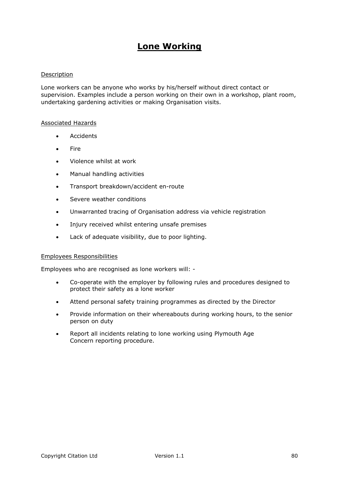## **Lone Working**

#### Description

Lone workers can be anyone who works by his/herself without direct contact or supervision. Examples include a person working on their own in a workshop, plant room, undertaking gardening activities or making Organisation visits.

#### Associated Hazards

- Accidents
- Fire
- Violence whilst at work
- Manual handling activities
- Transport breakdown/accident en-route
- Severe weather conditions
- Unwarranted tracing of Organisation address via vehicle registration
- Injury received whilst entering unsafe premises
- Lack of adequate visibility, due to poor lighting.

#### Employees Responsibilities

Employees who are recognised as lone workers will: -

- Co-operate with the employer by following rules and procedures designed to protect their safety as a lone worker
- Attend personal safety training programmes as directed by the Director
- Provide information on their whereabouts during working hours, to the senior person on duty
- Report all incidents relating to lone working using Plymouth Age Concern reporting procedure.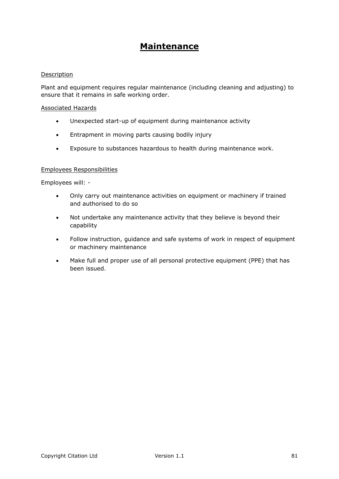## **Maintenance**

### Description

Plant and equipment requires regular maintenance (including cleaning and adjusting) to ensure that it remains in safe working order.

#### Associated Hazards

- Unexpected start-up of equipment during maintenance activity
- **•** Entrapment in moving parts causing bodily injury
- Exposure to substances hazardous to health during maintenance work.

#### Employees Responsibilities

Employees will: -

- Only carry out maintenance activities on equipment or machinery if trained and authorised to do so
- Not undertake any maintenance activity that they believe is beyond their capability
- Follow instruction, quidance and safe systems of work in respect of equipment or machinery maintenance
- Make full and proper use of all personal protective equipment (PPE) that has been issued.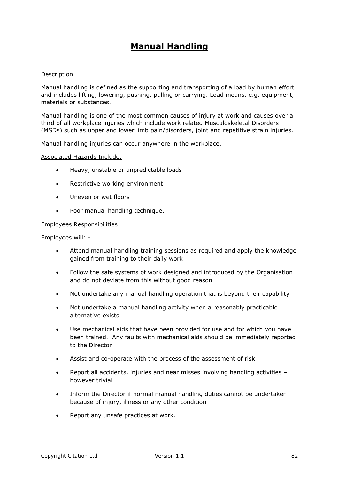## **Manual Handling**

#### Description

Manual handling is defined as the supporting and transporting of a load by human effort and includes lifting, lowering, pushing, pulling or carrying. Load means, e.g. equipment, materials or substances.

Manual handling is one of the most common causes of injury at work and causes over a third of all workplace injuries which include work related Musculoskeletal Disorders (MSDs) such as upper and lower limb pain/disorders, joint and repetitive strain injuries.

Manual handling injuries can occur anywhere in the workplace.

#### Associated Hazards Include:

- Heavy, unstable or unpredictable loads
- Restrictive working environment
- Uneven or wet floors
- Poor manual handling technique.

#### Employees Responsibilities

Employees will: -

- Attend manual handling training sessions as required and apply the knowledge gained from training to their daily work
- Follow the safe systems of work designed and introduced by the Organisation and do not deviate from this without good reason
- Not undertake any manual handling operation that is beyond their capability
- Not undertake a manual handling activity when a reasonably practicable alternative exists
- Use mechanical aids that have been provided for use and for which you have been trained. Any faults with mechanical aids should be immediately reported to the Director
- Assist and co-operate with the process of the assessment of risk
- Report all accidents, injuries and near misses involving handling activities however trivial
- Inform the Director if normal manual handling duties cannot be undertaken because of injury, illness or any other condition
- Report any unsafe practices at work.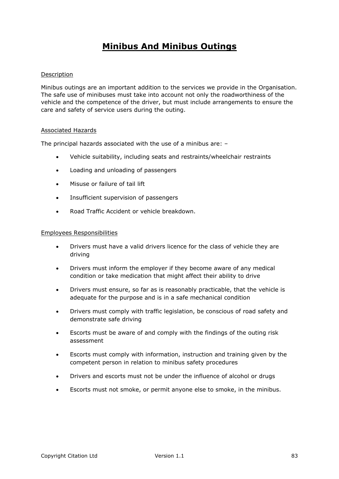## **Minibus And Minibus Outings**

### Description

Minibus outings are an important addition to the services we provide in the Organisation. The safe use of minibuses must take into account not only the roadworthiness of the vehicle and the competence of the driver, but must include arrangements to ensure the care and safety of service users during the outing.

#### Associated Hazards

The principal hazards associated with the use of a minibus are: –

- Vehicle suitability, including seats and restraints/wheelchair restraints
- Loading and unloading of passengers
- Misuse or failure of tail lift
- Insufficient supervision of passengers
- Road Traffic Accident or vehicle breakdown.

#### Employees Responsibilities

- Drivers must have a valid drivers licence for the class of vehicle they are driving
- Drivers must inform the employer if they become aware of any medical condition or take medication that might affect their ability to drive
- Drivers must ensure, so far as is reasonably practicable, that the vehicle is adequate for the purpose and is in a safe mechanical condition
- Drivers must comply with traffic legislation, be conscious of road safety and demonstrate safe driving
- Escorts must be aware of and comply with the findings of the outing risk assessment
- Escorts must comply with information, instruction and training given by the competent person in relation to minibus safety procedures
- Drivers and escorts must not be under the influence of alcohol or drugs
- Escorts must not smoke, or permit anyone else to smoke, in the minibus.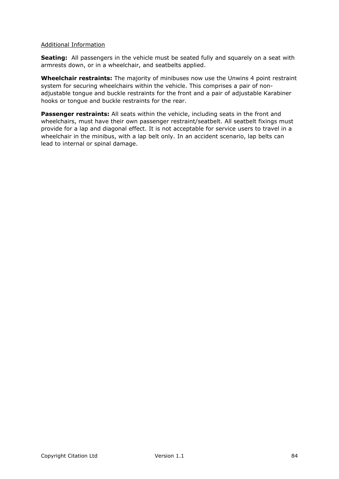### Additional Information

**Seating:** All passengers in the vehicle must be seated fully and squarely on a seat with armrests down, or in a wheelchair, and seatbelts applied.

**Wheelchair restraints:** The majority of minibuses now use the Unwins 4 point restraint system for securing wheelchairs within the vehicle. This comprises a pair of nonadjustable tongue and buckle restraints for the front and a pair of adjustable Karabiner hooks or tongue and buckle restraints for the rear.

**Passenger restraints:** All seats within the vehicle, including seats in the front and wheelchairs, must have their own passenger restraint/seatbelt. All seatbelt fixings must provide for a lap and diagonal effect. It is not acceptable for service users to travel in a wheelchair in the minibus, with a lap belt only. In an accident scenario, lap belts can lead to internal or spinal damage.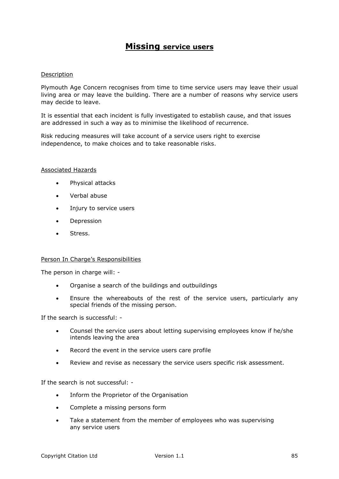## **Missing service users**

#### Description

Plymouth Age Concern recognises from time to time service users may leave their usual living area or may leave the building. There are a number of reasons why service users may decide to leave.

It is essential that each incident is fully investigated to establish cause, and that issues are addressed in such a way as to minimise the likelihood of recurrence.

Risk reducing measures will take account of a service users right to exercise independence, to make choices and to take reasonable risks.

#### Associated Hazards

- Physical attacks
- Verbal abuse
- Injury to service users
- **•** Depression
- Stress.

#### Person In Charge's Responsibilities

The person in charge will: -

- Organise a search of the buildings and outbuildings
- Ensure the whereabouts of the rest of the service users, particularly any special friends of the missing person.

If the search is successful: -

- Counsel the service users about letting supervising employees know if he/she intends leaving the area
- Record the event in the service users care profile
- Review and revise as necessary the service users specific risk assessment.

If the search is not successful: -

- Inform the Proprietor of the Organisation
- Complete a missing persons form
- Take a statement from the member of employees who was supervising any service users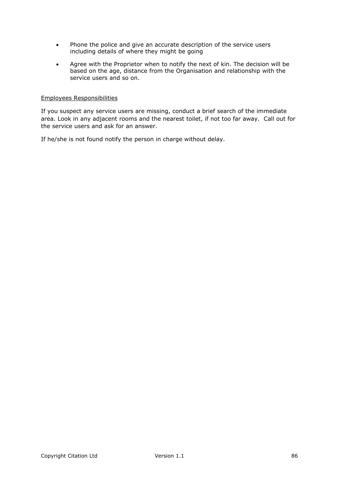- Phone the police and give an accurate description of the service users including details of where they might be going
- Agree with the Proprietor when to notify the next of kin. The decision will be based on the age, distance from the Organisation and relationship with the service users and so on.

#### Employees Responsibilities

If you suspect any service users are missing, conduct a brief search of the immediate area. Look in any adjacent rooms and the nearest toilet, if not too far away. Call out for the service users and ask for an answer.

If he/she is not found notify the person in charge without delay.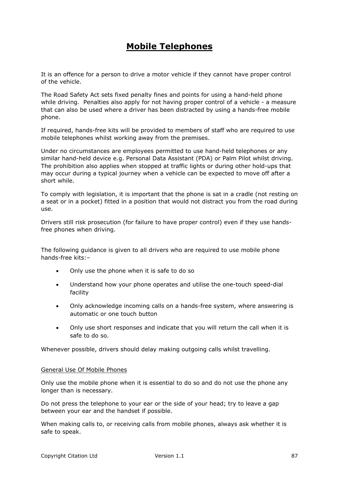## **Mobile Telephones**

It is an offence for a person to drive a motor vehicle if they cannot have proper control of the vehicle.

The Road Safety Act sets fixed penalty fines and points for using a hand-held phone while driving. Penalties also apply for not having proper control of a vehicle - a measure that can also be used where a driver has been distracted by using a hands-free mobile phone.

If required, hands-free kits will be provided to members of staff who are required to use mobile telephones whilst working away from the premises.

Under no circumstances are employees permitted to use hand-held telephones or any similar hand-held device e.g. Personal Data Assistant (PDA) or Palm Pilot whilst driving. The prohibition also applies when stopped at traffic lights or during other hold-ups that may occur during a typical journey when a vehicle can be expected to move off after a short while.

To comply with legislation, it is important that the phone is sat in a cradle (not resting on a seat or in a pocket) fitted in a position that would not distract you from the road during use.

Drivers still risk prosecution (for failure to have proper control) even if they use handsfree phones when driving.

The following guidance is given to all drivers who are required to use mobile phone hands-free kits:–

- Only use the phone when it is safe to do so
- Understand how your phone operates and utilise the one-touch speed-dial facility
- Only acknowledge incoming calls on a hands-free system, where answering is automatic or one touch button
- Only use short responses and indicate that you will return the call when it is safe to do so.

Whenever possible, drivers should delay making outgoing calls whilst travelling.

#### General Use Of Mobile Phones

Only use the mobile phone when it is essential to do so and do not use the phone any longer than is necessary.

Do not press the telephone to your ear or the side of your head; try to leave a gap between your ear and the handset if possible.

When making calls to, or receiving calls from mobile phones, always ask whether it is safe to speak.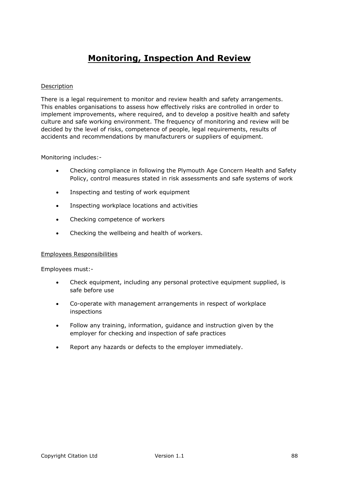## **Monitoring, Inspection And Review**

### Description

There is a legal requirement to monitor and review health and safety arrangements. This enables organisations to assess how effectively risks are controlled in order to implement improvements, where required, and to develop a positive health and safety culture and safe working environment. The frequency of monitoring and review will be decided by the level of risks, competence of people, legal requirements, results of accidents and recommendations by manufacturers or suppliers of equipment.

#### Monitoring includes:-

- Checking compliance in following the Plymouth Age Concern Health and Safety Policy, control measures stated in risk assessments and safe systems of work
- Inspecting and testing of work equipment
- Inspecting workplace locations and activities
- Checking competence of workers
- Checking the wellbeing and health of workers.

#### Employees Responsibilities

Employees must:-

- Check equipment, including any personal protective equipment supplied, is safe before use
- Co-operate with management arrangements in respect of workplace inspections
- Follow any training, information, guidance and instruction given by the employer for checking and inspection of safe practices
- Report any hazards or defects to the employer immediately.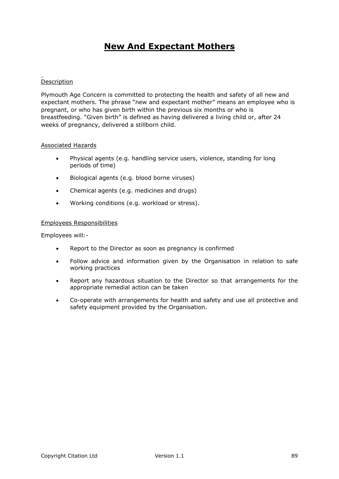## **New And Expectant Mothers**

### Description

Plymouth Age Concern is committed to protecting the health and safety of all new and expectant mothers. The phrase "new and expectant mother" means an employee who is pregnant, or who has given birth within the previous six months or who is breastfeeding. "Given birth" is defined as having delivered a living child or, after 24 weeks of pregnancy, delivered a stillborn child.

### Associated Hazards

- Physical agents (e.g. handling service users, violence, standing for long periods of time)
- Biological agents (e.g. blood borne viruses)
- Chemical agents (e.g. medicines and drugs)
- Working conditions (e.g. workload or stress).

#### Employees Responsibilities

Employees will:-

- Report to the Director as soon as pregnancy is confirmed
- Follow advice and information given by the Organisation in relation to safe working practices
- Report any hazardous situation to the Director so that arrangements for the appropriate remedial action can be taken
- Co-operate with arrangements for health and safety and use all protective and safety equipment provided by the Organisation.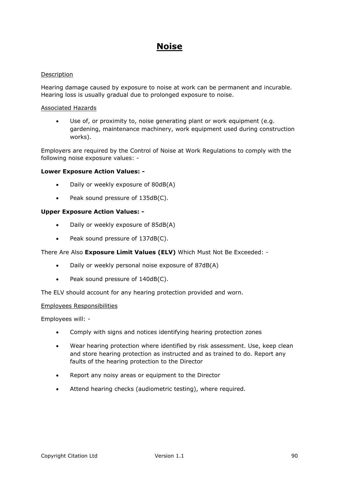## **Noise**

### Description

Hearing damage caused by exposure to noise at work can be permanent and incurable. Hearing loss is usually gradual due to prolonged exposure to noise.

#### Associated Hazards

 Use of, or proximity to, noise generating plant or work equipment (e.g. gardening, maintenance machinery, work equipment used during construction works).

Employers are required by the Control of Noise at Work Regulations to comply with the following noise exposure values: -

### **Lower Exposure Action Values: -**

- Daily or weekly exposure of 80dB(A)
- Peak sound pressure of 135dB(C).

#### **Upper Exposure Action Values: -**

- Daily or weekly exposure of 85dB(A)
- Peak sound pressure of 137dB(C).

#### There Are Also **Exposure Limit Values (ELV)** Which Must Not Be Exceeded: -

- Daily or weekly personal noise exposure of 87dB(A)
- Peak sound pressure of 140dB(C).

The ELV should account for any hearing protection provided and worn.

#### Employees Responsibilities

Employees will: -

- Comply with signs and notices identifying hearing protection zones
- Wear hearing protection where identified by risk assessment. Use, keep clean and store hearing protection as instructed and as trained to do. Report any faults of the hearing protection to the Director
- Report any noisy areas or equipment to the Director
- Attend hearing checks (audiometric testing), where required.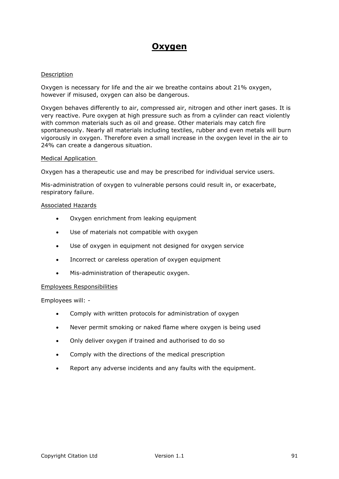## **Oxygen**

#### Description

Oxygen is necessary for life and the air we breathe contains about 21% oxygen, however if misused, oxygen can also be dangerous.

Oxygen behaves differently to air, compressed air, nitrogen and other inert gases. It is very reactive. Pure oxygen at high pressure such as from a cylinder can react violently with common materials such as oil and grease. Other materials may catch fire spontaneously. Nearly all materials including textiles, rubber and even metals will burn vigorously in oxygen. Therefore even a small increase in the oxygen level in the air to 24% can create a dangerous situation.

#### Medical Application

Oxygen has a therapeutic use and may be prescribed for individual service users.

Mis-administration of oxygen to vulnerable persons could result in, or exacerbate, respiratory failure.

#### Associated Hazards

- Oxygen enrichment from leaking equipment
- Use of materials not compatible with oxygen
- Use of oxygen in equipment not designed for oxygen service
- Incorrect or careless operation of oxygen equipment
- Mis-administration of therapeutic oxygen.

### Employees Responsibilities

Employees will: -

- Comply with written protocols for administration of oxygen
- Never permit smoking or naked flame where oxygen is being used
- Only deliver oxygen if trained and authorised to do so
- Comply with the directions of the medical prescription
- Report any adverse incidents and any faults with the equipment.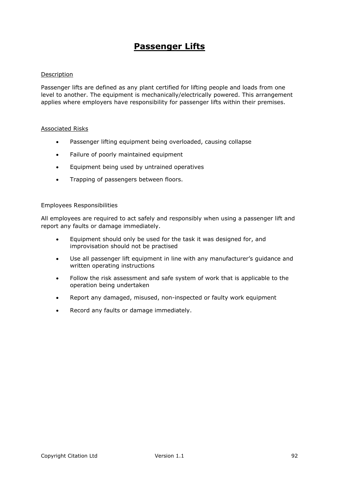## **Passenger Lifts**

#### Description

Passenger lifts are defined as any plant certified for lifting people and loads from one level to another. The equipment is mechanically/electrically powered. This arrangement applies where employers have responsibility for passenger lifts within their premises.

#### Associated Risks

- Passenger lifting equipment being overloaded, causing collapse
- Failure of poorly maintained equipment
- Equipment being used by untrained operatives
- Trapping of passengers between floors.

#### Employees Responsibilities

All employees are required to act safely and responsibly when using a passenger lift and report any faults or damage immediately.

- Equipment should only be used for the task it was designed for, and improvisation should not be practised
- Use all passenger lift equipment in line with any manufacturer's guidance and written operating instructions
- Follow the risk assessment and safe system of work that is applicable to the operation being undertaken
- Report any damaged, misused, non-inspected or faulty work equipment
- Record any faults or damage immediately.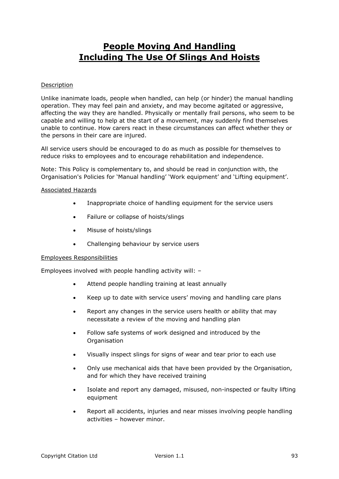## **People Moving And Handling Including The Use Of Slings And Hoists**

#### **Description**

Unlike inanimate loads, people when handled, can help (or hinder) the manual handling operation. They may feel pain and anxiety, and may become agitated or aggressive, affecting the way they are handled. Physically or mentally frail persons, who seem to be capable and willing to help at the start of a movement, may suddenly find themselves unable to continue. How carers react in these circumstances can affect whether they or the persons in their care are injured.

All service users should be encouraged to do as much as possible for themselves to reduce risks to employees and to encourage rehabilitation and independence.

Note: This Policy is complementary to, and should be read in conjunction with, the Organisation's Policies for 'Manual handling' 'Work equipment' and 'Lifting equipment'.

#### Associated Hazards

- Inappropriate choice of handling equipment for the service users
- Failure or collapse of hoists/slings
- Misuse of hoists/slings
- Challenging behaviour by service users

#### Employees Responsibilities

Employees involved with people handling activity will: –

- Attend people handling training at least annually
- Keep up to date with service users' moving and handling care plans
- Report any changes in the service users health or ability that may necessitate a review of the moving and handling plan
- Follow safe systems of work designed and introduced by the **Organisation**
- Visually inspect slings for signs of wear and tear prior to each use
- Only use mechanical aids that have been provided by the Organisation, and for which they have received training
- Isolate and report any damaged, misused, non-inspected or faulty lifting equipment
- Report all accidents, injuries and near misses involving people handling activities – however minor.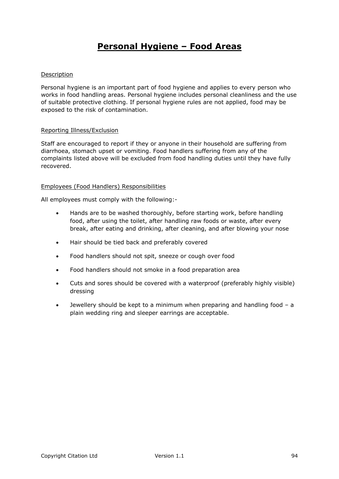# **Personal Hygiene – Food Areas**

### Description

Personal hygiene is an important part of food hygiene and applies to every person who works in food handling areas. Personal hygiene includes personal cleanliness and the use of suitable protective clothing. If personal hygiene rules are not applied, food may be exposed to the risk of contamination.

### Reporting Illness/Exclusion

Staff are encouraged to report if they or anyone in their household are suffering from diarrhoea, stomach upset or vomiting. Food handlers suffering from any of the complaints listed above will be excluded from food handling duties until they have fully recovered.

#### Employees (Food Handlers) Responsibilities

All employees must comply with the following:-

- Hands are to be washed thoroughly, before starting work, before handling food, after using the toilet, after handling raw foods or waste, after every break, after eating and drinking, after cleaning, and after blowing your nose
- Hair should be tied back and preferably covered
- Food handlers should not spit, sneeze or cough over food
- Food handlers should not smoke in a food preparation area
- Cuts and sores should be covered with a waterproof (preferably highly visible) dressing
- Jewellery should be kept to a minimum when preparing and handling food a plain wedding ring and sleeper earrings are acceptable.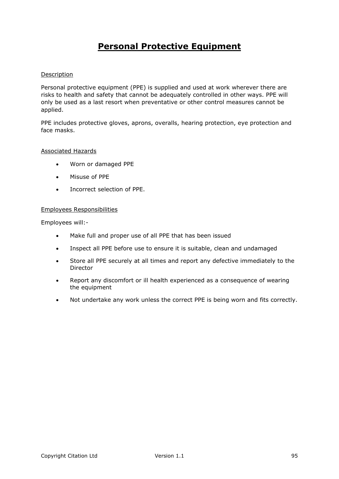# **Personal Protective Equipment**

### Description

Personal protective equipment (PPE) is supplied and used at work wherever there are risks to health and safety that cannot be adequately controlled in other ways. PPE will only be used as a last resort when preventative or other control measures cannot be applied.

PPE includes protective gloves, aprons, overalls, hearing protection, eye protection and face masks.

#### Associated Hazards

- Worn or damaged PPE
- Misuse of PPE
- Incorrect selection of PPE.

#### Employees Responsibilities

Employees will:-

- Make full and proper use of all PPE that has been issued
- Inspect all PPE before use to ensure it is suitable, clean and undamaged
- Store all PPE securely at all times and report any defective immediately to the Director
- Report any discomfort or ill health experienced as a consequence of wearing the equipment
- Not undertake any work unless the correct PPE is being worn and fits correctly.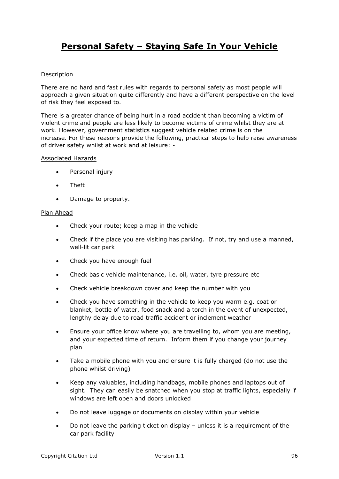# **Personal Safety – Staying Safe In Your Vehicle**

### Description

There are no hard and fast rules with regards to personal safety as most people will approach a given situation quite differently and have a different perspective on the level of risk they feel exposed to.

There is a greater chance of being hurt in a road accident than becoming a victim of violent crime and people are less likely to become victims of crime whilst they are at work. However, government statistics suggest vehicle related crime is on the increase. For these reasons provide the following, practical steps to help raise awareness of driver safety whilst at work and at leisure: -

#### Associated Hazards

- Personal injury
- Theft
- Damage to property.

#### Plan Ahead

- Check your route; keep a map in the vehicle
- Check if the place you are visiting has parking. If not, try and use a manned, well-lit car park
- Check you have enough fuel
- Check basic vehicle maintenance, i.e. oil, water, tyre pressure etc
- Check vehicle breakdown cover and keep the number with you
- Check you have something in the vehicle to keep you warm e.g. coat or blanket, bottle of water, food snack and a torch in the event of unexpected, lengthy delay due to road traffic accident or inclement weather
- Ensure your office know where you are travelling to, whom you are meeting, and your expected time of return. Inform them if you change your journey plan
- Take a mobile phone with you and ensure it is fully charged (do not use the phone whilst driving)
- Keep any valuables, including handbags, mobile phones and laptops out of sight. They can easily be snatched when you stop at traffic lights, especially if windows are left open and doors unlocked
- Do not leave luggage or documents on display within your vehicle
- Do not leave the parking ticket on display unless it is a requirement of the car park facility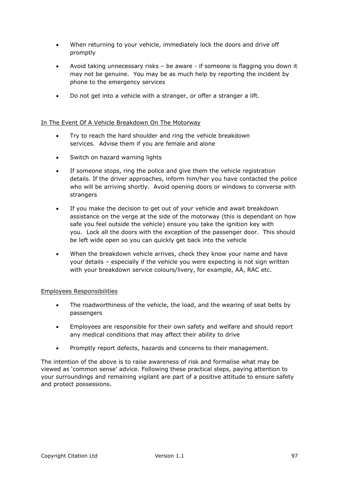- When returning to your vehicle, immediately lock the doors and drive off promptly
- Avoid taking unnecessary risks be aware if someone is flagging you down it may not be genuine. You may be as much help by reporting the incident by phone to the emergency services
- Do not get into a vehicle with a stranger, or offer a stranger a lift.

### In The Event Of A Vehicle Breakdown On The Motorway

- Try to reach the hard shoulder and ring the vehicle breakdown services. Advise them if you are female and alone
- Switch on hazard warning lights
- If someone stops, ring the police and give them the vehicle registration details. If the driver approaches, inform him/her you have contacted the police who will be arriving shortly. Avoid opening doors or windows to converse with strangers
- If you make the decision to get out of your vehicle and await breakdown assistance on the verge at the side of the motorway (this is dependant on how safe you feel outside the vehicle) ensure you take the ignition key with you. Lock all the doors with the exception of the passenger door. This should be left wide open so you can quickly get back into the vehicle
- When the breakdown vehicle arrives, check they know your name and have your details – especially if the vehicle you were expecting is not sign written with your breakdown service colours/livery, for example, AA, RAC etc.

### Employees Responsibilities

- The roadworthiness of the vehicle, the load, and the wearing of seat belts by passengers
- Employees are responsible for their own safety and welfare and should report any medical conditions that may affect their ability to drive
- Promptly report defects, hazards and concerns to their management.

The intention of the above is to raise awareness of risk and formalise what may be viewed as 'common sense' advice. Following these practical steps, paying attention to your surroundings and remaining vigilant are part of a positive attitude to ensure safety and protect possessions.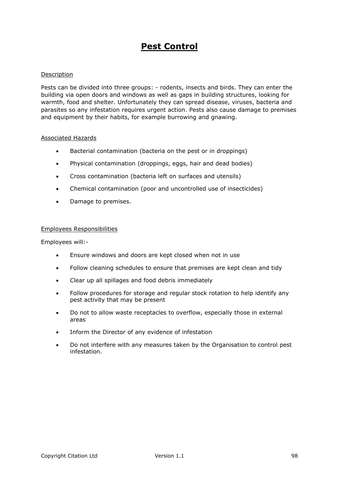## **Pest Control**

#### Description

Pests can be divided into three groups: - rodents, insects and birds. They can enter the building via open doors and windows as well as gaps in building structures, looking for warmth, food and shelter. Unfortunately they can spread disease, viruses, bacteria and parasites so any infestation requires urgent action. Pests also cause damage to premises and equipment by their habits, for example burrowing and gnawing.

#### Associated Hazards

- Bacterial contamination (bacteria on the pest or in droppings)
- Physical contamination (droppings, eggs, hair and dead bodies)
- Cross contamination (bacteria left on surfaces and utensils)
- Chemical contamination (poor and uncontrolled use of insecticides)
- Damage to premises.

#### Employees Responsibilities

Employees will:-

- Ensure windows and doors are kept closed when not in use
- Follow cleaning schedules to ensure that premises are kept clean and tidy
- Clear up all spillages and food debris immediately
- Follow procedures for storage and regular stock rotation to help identify any pest activity that may be present
- Do not to allow waste receptacles to overflow, especially those in external areas
- Inform the Director of any evidence of infestation
- Do not interfere with any measures taken by the Organisation to control pest infestation.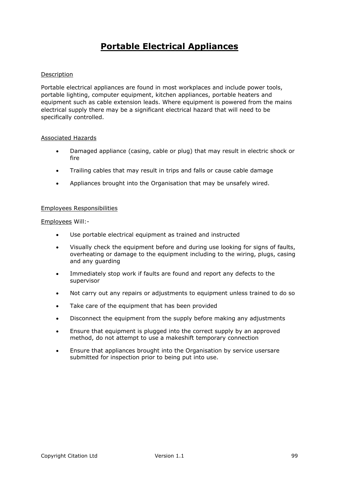# **Portable Electrical Appliances**

### Description

Portable electrical appliances are found in most workplaces and include power tools, portable lighting, computer equipment, kitchen appliances, portable heaters and equipment such as cable extension leads. Where equipment is powered from the mains electrical supply there may be a significant electrical hazard that will need to be specifically controlled.

#### Associated Hazards

- Damaged appliance (casing, cable or plug) that may result in electric shock or fire
- Trailing cables that may result in trips and falls or cause cable damage
- Appliances brought into the Organisation that may be unsafely wired.

#### Employees Responsibilities

Employees Will:-

- Use portable electrical equipment as trained and instructed
- Visually check the equipment before and during use looking for signs of faults, overheating or damage to the equipment including to the wiring, plugs, casing and any guarding
- Immediately stop work if faults are found and report any defects to the supervisor
- Not carry out any repairs or adjustments to equipment unless trained to do so
- Take care of the equipment that has been provided
- Disconnect the equipment from the supply before making any adjustments
- Ensure that equipment is plugged into the correct supply by an approved method, do not attempt to use a makeshift temporary connection
- Ensure that appliances brought into the Organisation by service usersare submitted for inspection prior to being put into use.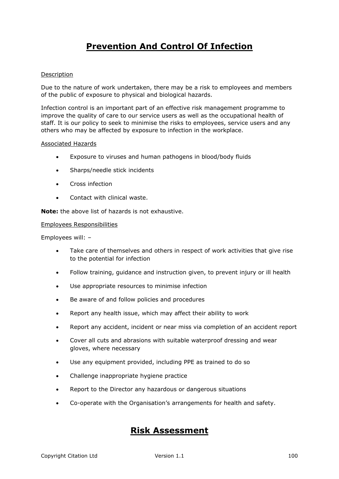# **Prevention And Control Of Infection**

### Description

Due to the nature of work undertaken, there may be a risk to employees and members of the public of exposure to physical and biological hazards.

Infection control is an important part of an effective risk management programme to improve the quality of care to our service users as well as the occupational health of staff. It is our policy to seek to minimise the risks to employees, service users and any others who may be affected by exposure to infection in the workplace.

#### Associated Hazards

- Exposure to viruses and human pathogens in blood/body fluids
- Sharps/needle stick incidents
- Cross infection
- Contact with clinical waste.

**Note:** the above list of hazards is not exhaustive.

#### Employees Responsibilities

Employees will: –

- Take care of themselves and others in respect of work activities that give rise to the potential for infection
- Follow training, guidance and instruction given, to prevent injury or ill health
- Use appropriate resources to minimise infection
- Be aware of and follow policies and procedures
- Report any health issue, which may affect their ability to work
- Report any accident, incident or near miss via completion of an accident report
- Cover all cuts and abrasions with suitable waterproof dressing and wear gloves, where necessary
- Use any equipment provided, including PPE as trained to do so
- Challenge inappropriate hygiene practice
- Report to the Director any hazardous or dangerous situations
- Co-operate with the Organisation's arrangements for health and safety.

## **Risk Assessment**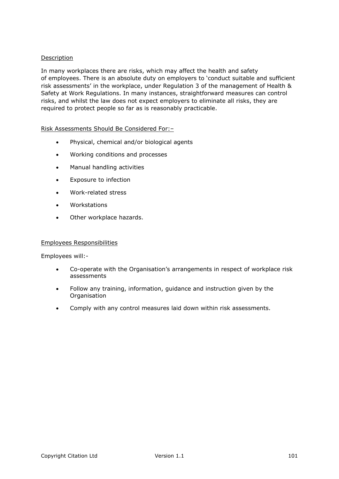### **Description**

In many workplaces there are risks, which may affect the health and safety of employees. There is an absolute duty on employers to 'conduct suitable and sufficient risk assessments' in the workplace, under Regulation 3 of the management of Health & Safety at Work Regulations. In many instances, straightforward measures can control risks, and whilst the law does not expect employers to eliminate all risks, they are required to protect people so far as is reasonably practicable.

### Risk Assessments Should Be Considered For:–

- Physical, chemical and/or biological agents
- Working conditions and processes
- Manual handling activities
- Exposure to infection
- Work-related stress
- Workstations
- Other workplace hazards.

#### Employees Responsibilities

Employees will:-

- Co-operate with the Organisation's arrangements in respect of workplace risk assessments
- Follow any training, information, guidance and instruction given by the **Organisation**
- Comply with any control measures laid down within risk assessments.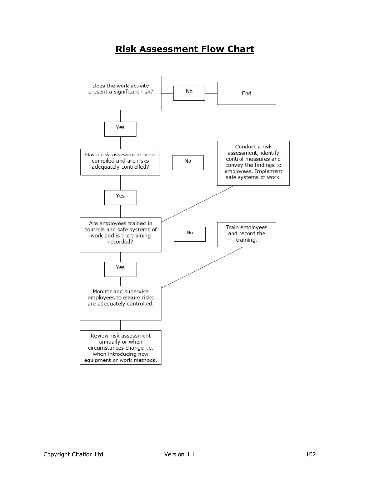# **Risk Assessment Flow Chart**

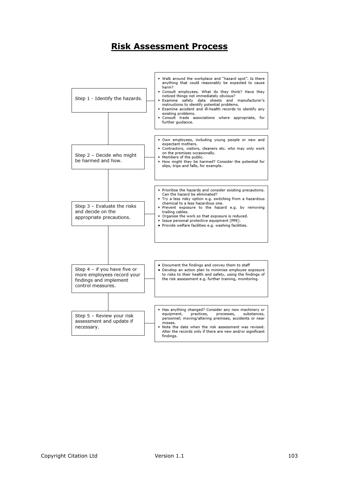## **Risk Assessment Process**

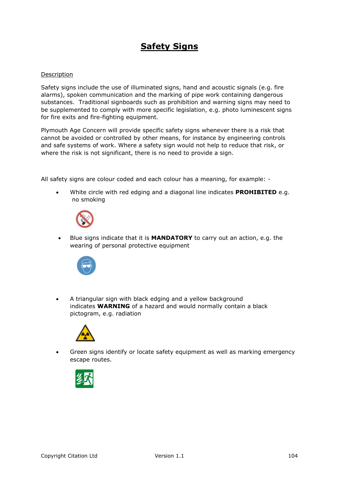## **Safety Signs**

#### Description

Safety signs include the use of illuminated signs, hand and acoustic signals (e.g. fire alarms), spoken communication and the marking of pipe work containing dangerous substances. Traditional signboards such as prohibition and warning signs may need to be supplemented to comply with more specific legislation, e.g. photo luminescent signs for fire exits and fire-fighting equipment.

Plymouth Age Concern will provide specific safety signs whenever there is a risk that cannot be avoided or controlled by other means, for instance by engineering controls and safe systems of work. Where a safety sign would not help to reduce that risk, or where the risk is not significant, there is no need to provide a sign.

All safety signs are colour coded and each colour has a meaning, for example: -

 White circle with red edging and a diagonal line indicates **PROHIBITED** e.g. no smoking



 Blue signs indicate that it is **MANDATORY** to carry out an action, e.g. the wearing of personal protective equipment



 A triangular sign with black edging and a yellow background indicates **WARNING** of a hazard and would normally contain a black pictogram, e.g. radiation



 Green signs identify or locate safety equipment as well as marking emergency escape routes.

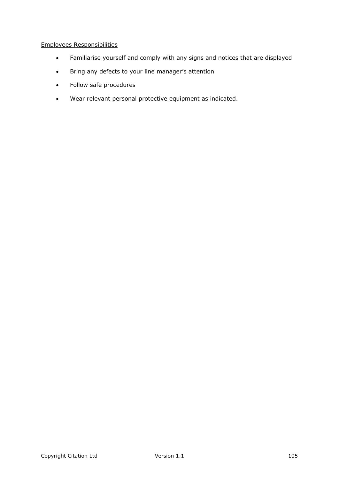### Employees Responsibilities

- Familiarise yourself and comply with any signs and notices that are displayed
- Bring any defects to your line manager's attention
- Follow safe procedures
- Wear relevant personal protective equipment as indicated.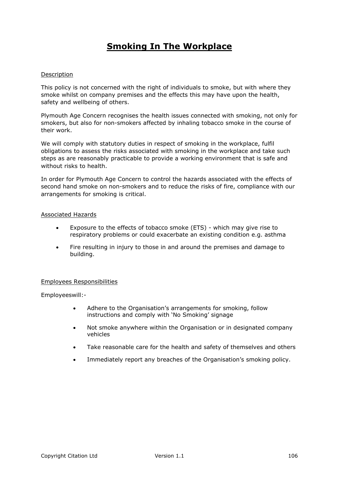# **Smoking In The Workplace**

#### Description

This policy is not concerned with the right of individuals to smoke, but with where they smoke whilst on company premises and the effects this may have upon the health, safety and wellbeing of others.

Plymouth Age Concern recognises the health issues connected with smoking, not only for smokers, but also for non-smokers affected by inhaling tobacco smoke in the course of their work.

We will comply with statutory duties in respect of smoking in the workplace, fulfil obligations to assess the risks associated with smoking in the workplace and take such steps as are reasonably practicable to provide a working environment that is safe and without risks to health.

In order for Plymouth Age Concern to control the hazards associated with the effects of second hand smoke on non-smokers and to reduce the risks of fire, compliance with our arrangements for smoking is critical.

#### Associated Hazards

- Exposure to the effects of tobacco smoke (ETS) which may give rise to respiratory problems or could exacerbate an existing condition e.g. asthma
- Fire resulting in injury to those in and around the premises and damage to building.

#### Employees Responsibilities

Employeeswill:-

- Adhere to the Organisation's arrangements for smoking, follow instructions and comply with 'No Smoking' signage
- Not smoke anywhere within the Organisation or in designated company vehicles
- Take reasonable care for the health and safety of themselves and others
- Immediately report any breaches of the Organisation's smoking policy.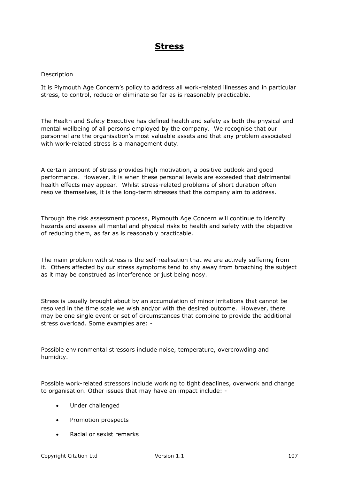## **Stress**

#### Description

It is Plymouth Age Concern's policy to address all work-related illnesses and in particular stress, to control, reduce or eliminate so far as is reasonably practicable.

The Health and Safety Executive has defined health and safety as both the physical and mental wellbeing of all persons employed by the company. We recognise that our personnel are the organisation's most valuable assets and that any problem associated with work-related stress is a management duty.

A certain amount of stress provides high motivation, a positive outlook and good performance. However, it is when these personal levels are exceeded that detrimental health effects may appear. Whilst stress-related problems of short duration often resolve themselves, it is the long-term stresses that the company aim to address.

Through the risk assessment process, Plymouth Age Concern will continue to identify hazards and assess all mental and physical risks to health and safety with the objective of reducing them, as far as is reasonably practicable.

The main problem with stress is the self-realisation that we are actively suffering from it. Others affected by our stress symptoms tend to shy away from broaching the subject as it may be construed as interference or just being nosy.

Stress is usually brought about by an accumulation of minor irritations that cannot be resolved in the time scale we wish and/or with the desired outcome. However, there may be one single event or set of circumstances that combine to provide the additional stress overload. Some examples are: -

Possible environmental stressors include noise, temperature, overcrowding and humidity.

Possible work-related stressors include working to tight deadlines, overwork and change to organisation. Other issues that may have an impact include: -

- Under challenged
- Promotion prospects
- Racial or sexist remarks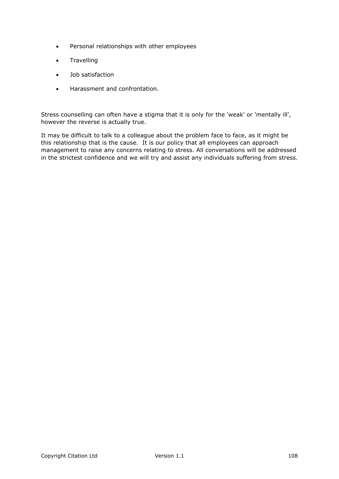- Personal relationships with other employees
- **•** Travelling
- Job satisfaction
- Harassment and confrontation.

Stress counselling can often have a stigma that it is only for the 'weak' or 'mentally ill', however the reverse is actually true.

It may be difficult to talk to a colleague about the problem face to face, as it might be this relationship that is the cause. It is our policy that all employees can approach management to raise any concerns relating to stress. All conversations will be addressed in the strictest confidence and we will try and assist any individuals suffering from stress.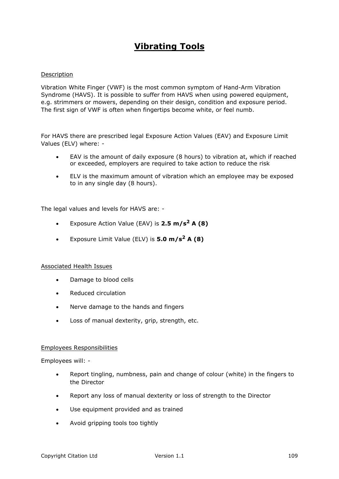# **Vibrating Tools**

### Description

Vibration White Finger (VWF) is the most common symptom of Hand-Arm Vibration Syndrome (HAVS). It is possible to suffer from HAVS when using powered equipment, e.g. strimmers or mowers, depending on their design, condition and exposure period. The first sign of VWF is often when fingertips become white, or feel numb.

For HAVS there are prescribed legal Exposure Action Values (EAV) and Exposure Limit Values (ELV) where: -

- EAV is the amount of daily exposure (8 hours) to vibration at, which if reached or exceeded, employers are required to take action to reduce the risk
- ELV is the maximum amount of vibration which an employee may be exposed to in any single day (8 hours).

The legal values and levels for HAVS are: -

- Exposure Action Value (EAV) is **2.5 m/s<sup>2</sup> A (8)**
- Exposure Limit Value (ELV) is **5.0 m/s<sup>2</sup> A (8)**

### Associated Health Issues

- Damage to blood cells
- Reduced circulation
- Nerve damage to the hands and fingers
- Loss of manual dexterity, grip, strength, etc.

### Employees Responsibilities

- Report tingling, numbness, pain and change of colour (white) in the fingers to the Director
- Report any loss of manual dexterity or loss of strength to the Director
- Use equipment provided and as trained
- Avoid gripping tools too tightly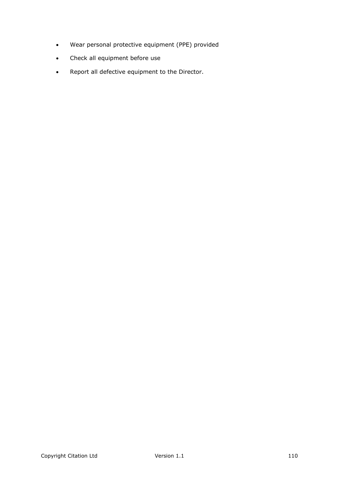- Wear personal protective equipment (PPE) provided
- Check all equipment before use
- Report all defective equipment to the Director.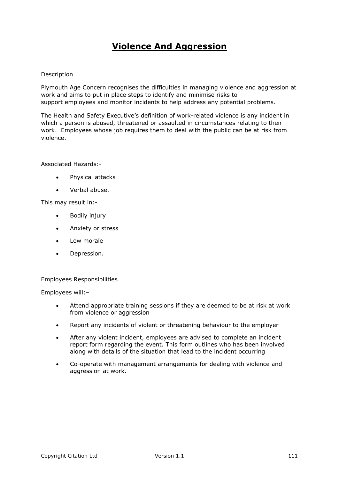# **Violence And Aggression**

### Description

Plymouth Age Concern recognises the difficulties in managing violence and aggression at work and aims to put in place steps to identify and minimise risks to support employees and monitor incidents to help address any potential problems.

The Health and Safety Executive's definition of work-related violence is any incident in which a person is abused, threatened or assaulted in circumstances relating to their work. Employees whose job requires them to deal with the public can be at risk from violence.

#### Associated Hazards:-

- Physical attacks
- Verbal abuse.

This may result in:-

- Bodily injury
- Anxiety or stress
- Low morale
- Depression.

#### Employees Responsibilities

- Attend appropriate training sessions if they are deemed to be at risk at work from violence or aggression
- Report any incidents of violent or threatening behaviour to the employer
- After any violent incident, employees are advised to complete an incident report form regarding the event. This form outlines who has been involved along with details of the situation that lead to the incident occurring
- Co-operate with management arrangements for dealing with violence and aggression at work.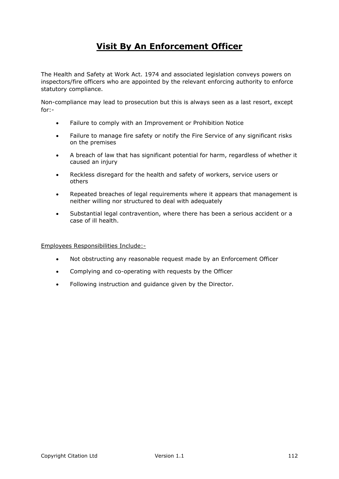# **Visit By An Enforcement Officer**

The Health and Safety at Work Act. 1974 and associated legislation conveys powers on inspectors/fire officers who are appointed by the relevant enforcing authority to enforce statutory compliance.

Non-compliance may lead to prosecution but this is always seen as a last resort, except for:-

- Failure to comply with an Improvement or Prohibition Notice
- Failure to manage fire safety or notify the Fire Service of any significant risks on the premises
- A breach of law that has significant potential for harm, regardless of whether it caused an injury
- Reckless disregard for the health and safety of workers, service users or others
- Repeated breaches of legal requirements where it appears that management is neither willing nor structured to deal with adequately
- Substantial legal contravention, where there has been a serious accident or a case of ill health.

#### Employees Responsibilities Include:-

- Not obstructing any reasonable request made by an Enforcement Officer
- Complying and co-operating with requests by the Officer
- Following instruction and guidance given by the Director.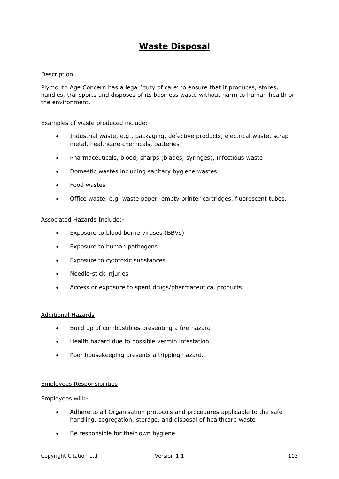### **Waste Disposal**

### Description

Plymouth Age Concern has a legal 'duty of care' to ensure that it produces, stores, handles, transports and disposes of its business waste without harm to human health or the environment.

Examples of waste produced include:-

- Industrial waste, e.g., packaging, defective products, electrical waste, scrap metal, healthcare chemicals, batteries
- Pharmaceuticals, blood, sharps (blades, syringes), infectious waste
- Domestic wastes including sanitary hygiene wastes
- Food wastes
- Office waste, e.g. waste paper, empty printer cartridges, fluorescent tubes.

### Associated Hazards Include:-

- Exposure to blood borne viruses (BBVs)
- Exposure to human pathogens
- Exposure to cytotoxic substances
- Needle-stick injuries
- Access or exposure to spent drugs/pharmaceutical products.

### Additional Hazards

- Build up of combustibles presenting a fire hazard
- Health hazard due to possible vermin infestation
- Poor housekeeping presents a tripping hazard.

### Employees Responsibilities

- Adhere to all Organisation protocols and procedures applicable to the safe handling, segregation, storage, and disposal of healthcare waste
- Be responsible for their own hygiene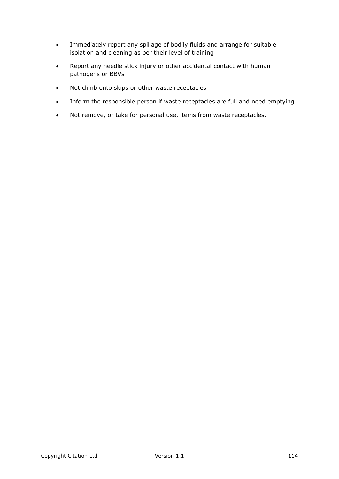- Immediately report any spillage of bodily fluids and arrange for suitable isolation and cleaning as per their level of training
- Report any needle stick injury or other accidental contact with human pathogens or BBVs
- Not climb onto skips or other waste receptacles
- Inform the responsible person if waste receptacles are full and need emptying
- Not remove, or take for personal use, items from waste receptacles.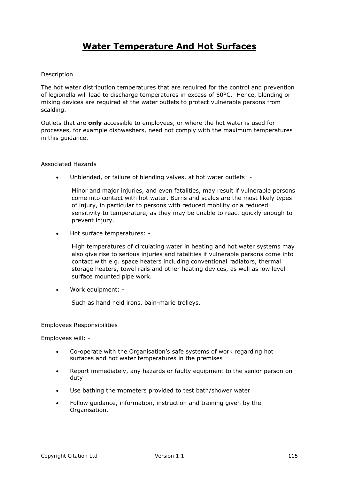# **Water Temperature And Hot Surfaces**

### Description

The hot water distribution temperatures that are required for the control and prevention of legionella will lead to discharge temperatures in excess of 50°C. Hence, blending or mixing devices are required at the water outlets to protect vulnerable persons from scalding.

Outlets that are **only** accessible to employees, or where the hot water is used for processes, for example dishwashers, need not comply with the maximum temperatures in this guidance.

### Associated Hazards

Unblended, or failure of blending valves, at hot water outlets: -

Minor and major injuries, and even fatalities, may result if vulnerable persons come into contact with hot water. Burns and scalds are the most likely types of injury, in particular to persons with reduced mobility or a reduced sensitivity to temperature, as they may be unable to react quickly enough to prevent injury.

Hot surface temperatures: -

High temperatures of circulating water in heating and hot water systems may also give rise to serious injuries and fatalities if vulnerable persons come into contact with e.g. space heaters including conventional radiators, thermal storage heaters, towel rails and other heating devices, as well as low level surface mounted pipe work.

Work equipment: -

Such as hand held irons, bain-marie trolleys.

### Employees Responsibilities

- Co-operate with the Organisation's safe systems of work regarding hot surfaces and hot water temperatures in the premises
- Report immediately, any hazards or faulty equipment to the senior person on duty
- Use bathing thermometers provided to test bath/shower water
- Follow guidance, information, instruction and training given by the Organisation.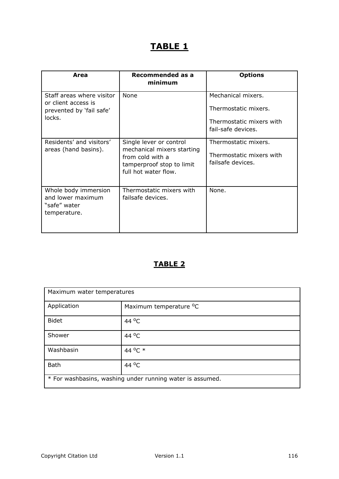# **TABLE 1**

| Area                                                                                   | Recommended as a<br>minimum                                                                                                    | <b>Options</b>                                                                               |
|----------------------------------------------------------------------------------------|--------------------------------------------------------------------------------------------------------------------------------|----------------------------------------------------------------------------------------------|
| Staff areas where visitor<br>or client access is<br>prevented by 'fail safe'<br>locks. | None                                                                                                                           | Mechanical mixers.<br>Thermostatic mixers.<br>Thermostatic mixers with<br>fail-safe devices. |
| Residents' and visitors'<br>areas (hand basins).                                       | Single lever or control<br>mechanical mixers starting<br>from cold with a<br>tamperproof stop to limit<br>full hot water flow. | Thermostatic mixers.<br>Thermostatic mixers with<br>failsafe devices.                        |
| Whole body immersion<br>and lower maximum<br>"safe" water<br>temperature.              | Thermostatic mixers with<br>failsafe devices.                                                                                  | None.                                                                                        |

### **TABLE 2**

| Maximum water temperatures                                |                                    |  |
|-----------------------------------------------------------|------------------------------------|--|
| Application                                               | Maximum temperature <sup>o</sup> C |  |
| <b>Bidet</b>                                              | 44 °C                              |  |
| Shower                                                    | 44 °C                              |  |
| Washbasin                                                 | 44 °C *                            |  |
| <b>Bath</b>                                               | 44 °C                              |  |
| * For washbasins, washing under running water is assumed. |                                    |  |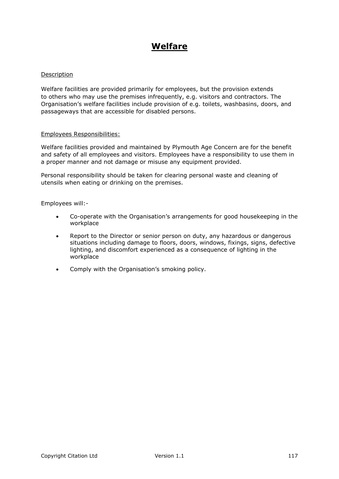# **Welfare**

### Description

Welfare facilities are provided primarily for employees, but the provision extends to others who may use the premises infrequently, e.g. visitors and contractors. The Organisation's welfare facilities include provision of e.g. toilets, washbasins, doors, and passageways that are accessible for disabled persons.

### Employees Responsibilities:

Welfare facilities provided and maintained by Plymouth Age Concern are for the benefit and safety of all employees and visitors. Employees have a responsibility to use them in a proper manner and not damage or misuse any equipment provided.

Personal responsibility should be taken for clearing personal waste and cleaning of utensils when eating or drinking on the premises.

- Co-operate with the Organisation's arrangements for good housekeeping in the workplace
- Report to the Director or senior person on duty, any hazardous or dangerous situations including damage to floors, doors, windows, fixings, signs, defective lighting, and discomfort experienced as a consequence of lighting in the workplace
- Comply with the Organisation's smoking policy.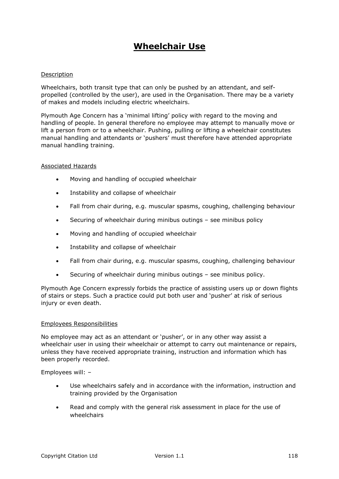## **Wheelchair Use**

### Description

Wheelchairs, both transit type that can only be pushed by an attendant, and selfpropelled (controlled by the user), are used in the Organisation. There may be a variety of makes and models including electric wheelchairs.

Plymouth Age Concern has a 'minimal lifting' policy with regard to the moving and handling of people. In general therefore no employee may attempt to manually move or lift a person from or to a wheelchair. Pushing, pulling or lifting a wheelchair constitutes manual handling and attendants or 'pushers' must therefore have attended appropriate manual handling training.

### Associated Hazards

- Moving and handling of occupied wheelchair
- Instability and collapse of wheelchair
- Fall from chair during, e.g. muscular spasms, coughing, challenging behaviour
- Securing of wheelchair during minibus outings see minibus policy
- Moving and handling of occupied wheelchair
- Instability and collapse of wheelchair
- Fall from chair during, e.g. muscular spasms, coughing, challenging behaviour
- Securing of wheelchair during minibus outings see minibus policy.

Plymouth Age Concern expressly forbids the practice of assisting users up or down flights of stairs or steps. Such a practice could put both user and 'pusher' at risk of serious injury or even death.

### Employees Responsibilities

No employee may act as an attendant or 'pusher', or in any other way assist a wheelchair user in using their wheelchair or attempt to carry out maintenance or repairs, unless they have received appropriate training, instruction and information which has been properly recorded.

- Use wheelchairs safely and in accordance with the information, instruction and training provided by the Organisation
- Read and comply with the general risk assessment in place for the use of wheelchairs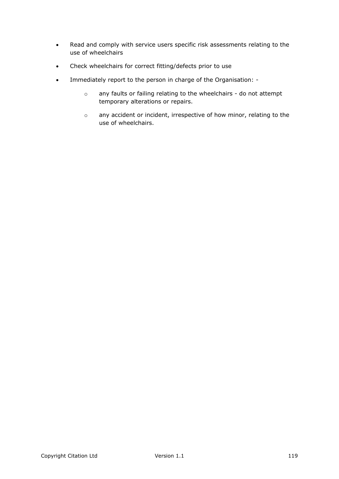- Read and comply with service users specific risk assessments relating to the use of wheelchairs
- Check wheelchairs for correct fitting/defects prior to use
- Immediately report to the person in charge of the Organisation:
	- o any faults or failing relating to the wheelchairs do not attempt temporary alterations or repairs.
	- o any accident or incident, irrespective of how minor, relating to the use of wheelchairs.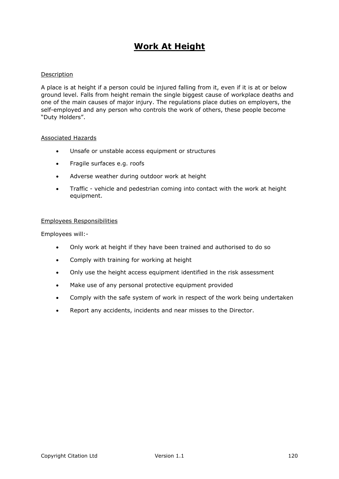# **Work At Height**

### Description

A place is at height if a person could be injured falling from it, even if it is at or below ground level. Falls from height remain the single biggest cause of workplace deaths and one of the main causes of major injury. The regulations place duties on employers, the self-employed and any person who controls the work of others, these people become "Duty Holders".

#### Associated Hazards

- Unsafe or unstable access equipment or structures
- Fragile surfaces e.g. roofs
- Adverse weather during outdoor work at height
- Traffic vehicle and pedestrian coming into contact with the work at height equipment.

### Employees Responsibilities

- Only work at height if they have been trained and authorised to do so
- Comply with training for working at height
- Only use the height access equipment identified in the risk assessment
- Make use of any personal protective equipment provided
- Comply with the safe system of work in respect of the work being undertaken
- Report any accidents, incidents and near misses to the Director.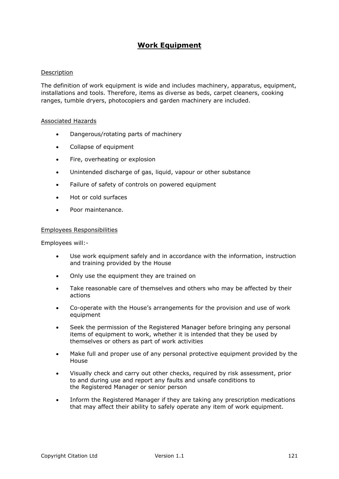### **Work Equipment**

### Description

The definition of work equipment is wide and includes machinery, apparatus, equipment, installations and tools. Therefore, items as diverse as beds, carpet cleaners, cooking ranges, tumble dryers, photocopiers and garden machinery are included.

#### Associated Hazards

- Dangerous/rotating parts of machinery
- Collapse of equipment
- Fire, overheating or explosion
- Unintended discharge of gas, liquid, vapour or other substance
- Failure of safety of controls on powered equipment
- Hot or cold surfaces
- Poor maintenance.

#### Employees Responsibilities

- Use work equipment safely and in accordance with the information, instruction and training provided by the House
- Only use the equipment they are trained on
- Take reasonable care of themselves and others who may be affected by their actions
- Co-operate with the House's arrangements for the provision and use of work equipment
- Seek the permission of the Registered Manager before bringing any personal items of equipment to work, whether it is intended that they be used by themselves or others as part of work activities
- Make full and proper use of any personal protective equipment provided by the House
- Visually check and carry out other checks, required by risk assessment, prior to and during use and report any faults and unsafe conditions to the Registered Manager or senior person
- Inform the Registered Manager if they are taking any prescription medications that may affect their ability to safely operate any item of work equipment.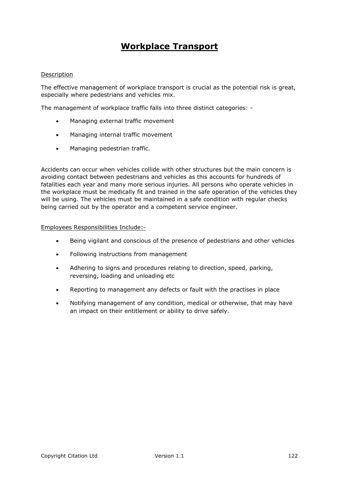## **Workplace Transport**

### Description

The effective management of workplace transport is crucial as the potential risk is great, especially where pedestrians and vehicles mix.

The management of workplace traffic falls into three distinct categories: -

- Managing external traffic movement
- Managing internal traffic movement
- Managing pedestrian traffic.

Accidents can occur when vehicles collide with other structures but the main concern is avoiding contact between pedestrians and vehicles as this accounts for hundreds of fatalities each year and many more serious injuries. All persons who operate vehicles in the workplace must be medically fit and trained in the safe operation of the vehicles they will be using. The vehicles must be maintained in a safe condition with regular checks being carried out by the operator and a competent service engineer.

### Employees Responsibilities Include:-

- Being vigilant and conscious of the presence of pedestrians and other vehicles
- Following instructions from management
- Adhering to signs and procedures relating to direction, speed, parking, reversing, loading and unloading etc
- Reporting to management any defects or fault with the practises in place
- Notifying management of any condition, medical or otherwise, that may have an impact on their entitlement or ability to drive safely.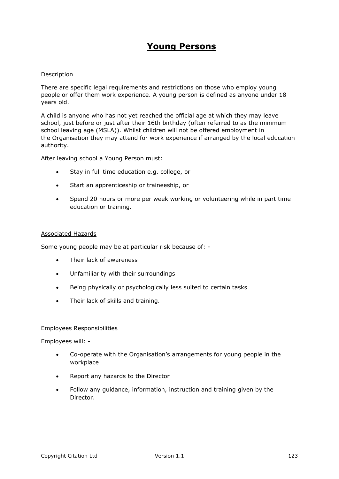### **Young Persons**

### Description

There are specific legal requirements and restrictions on those who employ young people or offer them work experience. A young person is defined as anyone under 18 years old.

A child is anyone who has not yet reached the official age at which they may leave school, just before or just after their 16th birthday (often referred to as the minimum school leaving age (MSLA)). Whilst children will not be offered employment in the Organisation they may attend for work experience if arranged by the local education authority.

After leaving school a Young Person must:

- Stay in full time education e.g. college, or
- Start an apprenticeship or traineeship, or
- Spend 20 hours or more per week working or volunteering while in part time education or training.

### Associated Hazards

Some young people may be at particular risk because of: -

- Their lack of awareness
- Unfamiliarity with their surroundings
- Being physically or psychologically less suited to certain tasks
- Their lack of skills and training.

### Employees Responsibilities

- Co-operate with the Organisation's arrangements for young people in the workplace
- Report any hazards to the Director
- Follow any guidance, information, instruction and training given by the Director.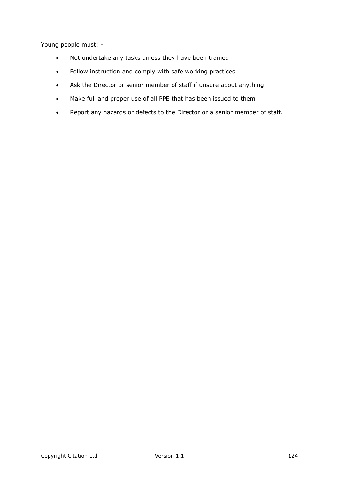Young people must: -

- Not undertake any tasks unless they have been trained
- Follow instruction and comply with safe working practices
- Ask the Director or senior member of staff if unsure about anything
- Make full and proper use of all PPE that has been issued to them
- Report any hazards or defects to the Director or a senior member of staff.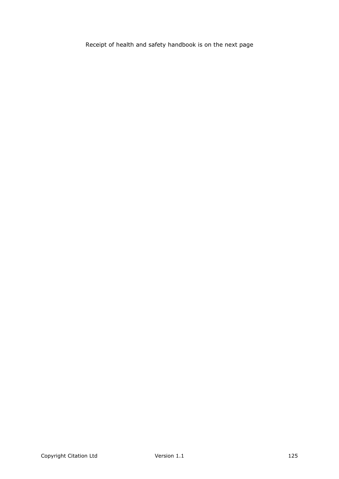Receipt of health and safety handbook is on the next page